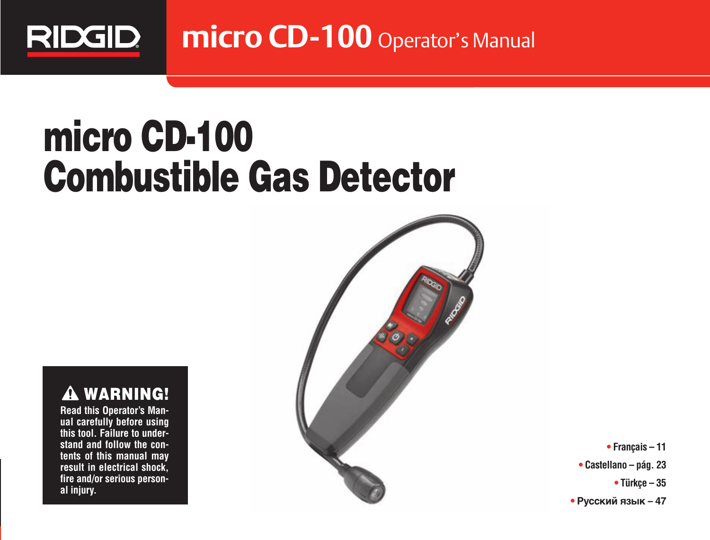

**micro CD-100** Operator's Manual

# **micro CD-100 Combustible Gas Detector**

**WARNING!**  $\blacktriangle$ 

**Read this Operator's Man ual carefully before using this tool. Failure to understand and follow the contents of this manual may result in electrical shock, fire and/or serious person al injury.**



**• Français – 11 • Castellano – pág. 23**

**• Türkçe – 35**

**• Русский язык – 47**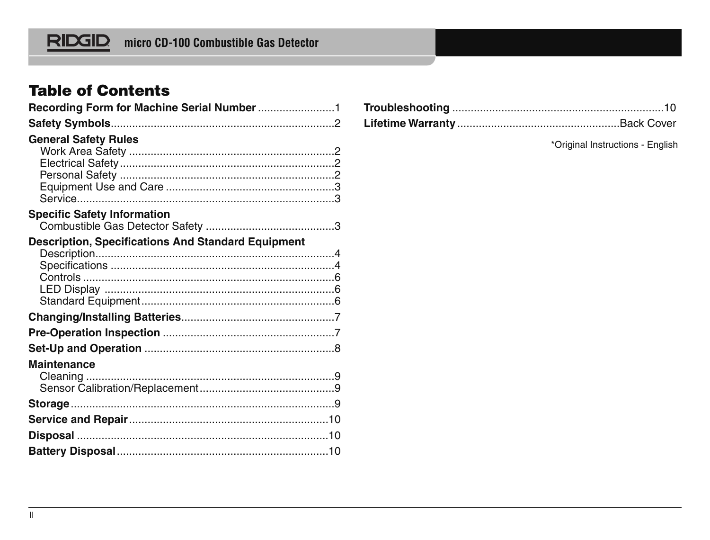# **Table of Contents**

| <b>General Safety Rules</b>                               |
|-----------------------------------------------------------|
|                                                           |
|                                                           |
|                                                           |
|                                                           |
| <b>Specific Safety Information</b>                        |
|                                                           |
| <b>Description, Specifications And Standard Equipment</b> |
|                                                           |
|                                                           |
|                                                           |
|                                                           |
|                                                           |
|                                                           |
|                                                           |
|                                                           |
| Maintenance                                               |
|                                                           |
|                                                           |
|                                                           |
|                                                           |
|                                                           |
|                                                           |

\*Original Instructions - English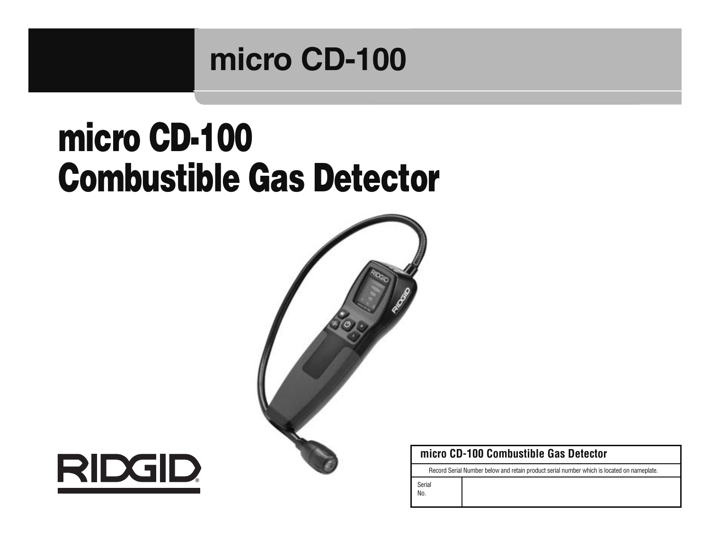# **micro CD-100**

# **micro CD-100 Combustible Gas Detector**





#### **micro CD-100 Combustible Gas Detector**

Record Serial Number below and retain product serial number which is located on nameplate.

Serial

No.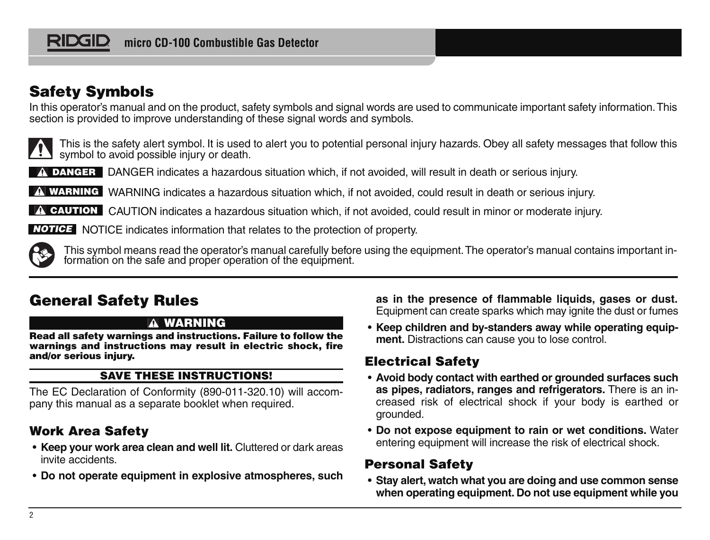# **Safety Symbols**

In this operator's manual and on the product, safety symbols and signal words are used to communicate important safety information. This section is provided to improve understanding of these signal words and symbols.



This is the safety alert symbol. It is used to alert you to potential personal injury hazards. Obey all safety messages that follow this symbol to avoid possible injury or death.

DANGER indicates a hazardous situation which, if not avoided, will result in death or serious injury. **DANGER**

WARNING indicates a hazardous situation which, if not avoided, could result in death or serious injury. **WARNING**

CAUTION indicates a hazardous situation which, if not avoided, could result in minor or moderate injury. **CAUTION**

NOTICE indicates information that relates to the protection of property. **NOTICE**



This symbol means read the operator's manual carefully before using the equipment. The operator's manual contains important in-<br>formation on the safe and proper operation of the equipment.

# **General Safety Rules**

#### **WARNING**

**Read all safety warnings and in struc tions. Failure to follow the warn ings and instructions may result in electric shock, fire and/or serious injury.**

#### **SAVE THESE INSTRUCTIONS!**

The EC Declaration of Conformity (890-011-320.10) will accompany this manual as a separate booklet when required.

## **Work Area Safety**

- **Keep your work area clean and well lit.** Cluttered or dark areas invite accidents.
- **Do not operate equipment in explosive atmospheres, such**

**as in the presence of flammable liquids, gases or dust.** Equip ment can create sparks which may ignite the dust or fumes

• **Keep children and by-standers a way while operating equip ment.** Distractions can cause you to lose control.

## **Electrical Safety**

- **Avoid body contact with earthed or grounded surfaces such as pipes, radiators, ranges and refrigerators.** There is an in creased risk of electrical shock if your body is earthed or grounded.
- **Do not expose equipment to rain or wet conditions.** Water entering equipment will increase the risk of electrical shock.

## **Personal Safety**

• **Stay alert, watch what you are doing and use common sense when operating equipment. Do not use equipment while you**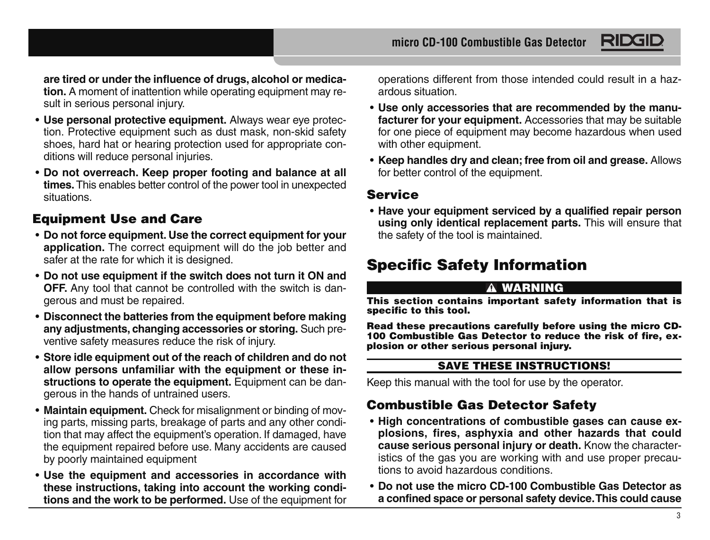RIDG

**are tired or under the influence of drugs, alcohol or medication.** A moment of inattention while operating equipment may result in serious personal injury.

- **Use personal protective equipment.** Always wear eye protection. Protective equipment such as dust mask, non-skid safety shoes, hard hat or hearing protection used for appropriate conditions will reduce personal injuries.
- **Do not overreach. Keep proper footing and balance at all times.** This enables better control of the power tool in unexpected situations.

## **Equipment Use and Care**

- **Do not force equipment. Use the correct equipment for your application.** The correct equipment will do the job better and safer at the rate for which it is designed.
- **Do not use equipment if the switch does not turn it ON and OFF.** Any tool that cannot be controlled with the switch is dangerous and must be repaired.
- **Disconnect the batteries from the equipment before making any adjustments, changing accessories or storing.** Such preventive safety measures reduce the risk of injury.
- **Store idle equipment out of the reach of children and do not allow persons unfamiliar with the equipment or these instructions to operate the equipment.** Equipment can be dangerous in the hands of untrained users.
- **Maintain equipment.** Check for misalignment or binding of moving parts, missing parts, breakage of parts and any other condition that may affect the equipment's operation. If damaged, have the equipment repaired before use. Many accidents are caused by poorly maintained equipment
- **Use the equipment and accessories in accordance with these instructions, taking into account the working conditions and the work to be performed.** Use of the equipment for

operations different from those intended could result in a hazardous situation.

- **Use only accessories that are recommended by the manufacturer for your equipment.** Accessories that may be suitable for one piece of equipment may become hazardous when used with other equipment.
- **Keep handles dry and clean; free from oil and grease.** Allows for better control of the equipment.

#### **Service**

• **Have your equipment serviced by a qualified repair person using on ly identical replacement parts.** This will ensure that the safety of the tool is maintained.

# **Specific Safety Information**

#### **WARNING**

**This section contains important safety information that is specific to this tool.**

**Read these precautions carefully before using the micro CD-100 Combustible Gas Detector to reduce the risk of fire, explosion or other serious personal injury.**

#### **SAVE THESE INSTRUCTIONS!**

Keep this manual with the tool for use by the operator.

## **Combustible Gas Detector Safety**

- **High concentrations of combustible gases can cause explosions, fires, asphyxia and other hazards that could cause serious personal injury or death.** Know the characteristics of the gas you are working with and use proper precautions to avoid hazardous conditions.
- **Do not use the micro CD-100 Combustible Gas Detector as a confined space or personal safety device. This could cause**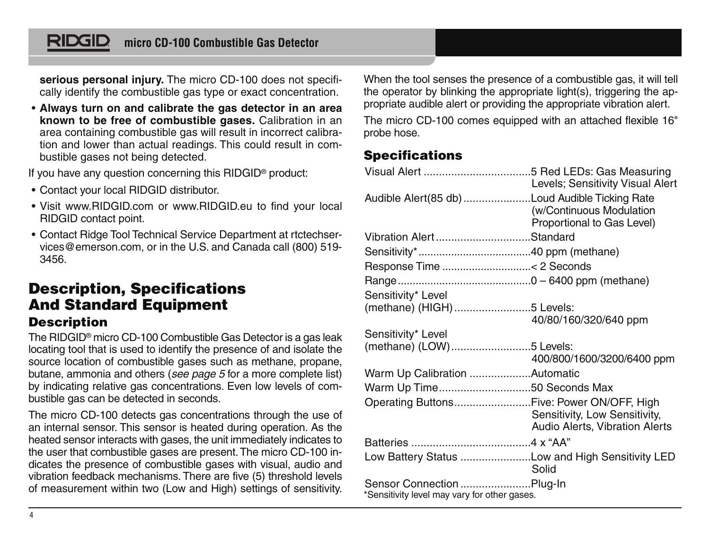**serious personal injury.** The micro CD-100 does not specifically identify the combustible gas type or exact concentration.

• **Always turn on and calibrate the gas detector in an area known to be free of combustible gases.** Calibration in an area containing combustible gas will result in incorrect calibration and lower than actual readings. This could result in combustible gases not being detected.

If you have any question concerning this RIDGID® product:

- Contact your local RIDGID distributor.
- Visit www.RIDGID.com or www.RIDGID.eu to find your local RIDGID contact point.
- Contact Ridge Tool Technical Service Department at rtctechservices@emerson.com, or in the U.S. and Canada call (800) 519- 3456.

## **Description, Specifications And Standard Equipment Description**

The RIDGID® micro CD-100 Combustible Gas Detector is a gas leak locating tool that is used to identify the presence of and isolate the source location of combustible gases such as methane, propane, butane, ammonia and others (see page 5 for a more complete list) by indicating relative gas concentrations. Even low levels of combustible gas can be detected in seconds.

The micro CD-100 detects gas concentrations through the use of an internal sensor. This sensor is heated during operation. As the heated sensor interacts with gases, the unit immediately indicates to the user that combustible gases are present. The micro CD-100 indicates the presence of combustible gases with visual, audio and vibration feedback mechanisms. There are five (5) threshold levels of measurement within two (Low and High) settings of sensitivity.

When the tool senses the presence of a combustible gas, it will tell the operator by blinking the appropriate light(s), triggering the appropriate audible alert or providing the appropriate vibration alert.

The micro CD-100 comes equipped with an attached flexible 16" probe hose.

## **Specifications**

|                                                                           | Levels: Sensitivity Visual Alert                                |
|---------------------------------------------------------------------------|-----------------------------------------------------------------|
| Audible Alert(85 db) Loud Audible Ticking Rate                            | (w/Continuous Modulation<br>Proportional to Gas Level)          |
| Vibration AlertStandard                                                   |                                                                 |
|                                                                           |                                                                 |
|                                                                           |                                                                 |
|                                                                           |                                                                 |
| Sensitivity* Level                                                        |                                                                 |
| (methane) (HIGH)5 Levels:                                                 |                                                                 |
|                                                                           | 40/80/160/320/640 ppm                                           |
| Sensitivity* Level                                                        |                                                                 |
| (methane) (LOW)5 Levels:                                                  | 400/800/1600/3200/6400 ppm                                      |
| Warm Up Calibration Automatic                                             |                                                                 |
| Warm Up Time50 Seconds Max                                                |                                                                 |
| Operating ButtonsFive: Power ON/OFF, High                                 | Sensitivity, Low Sensitivity,<br>Audio Alerts, Vibration Alerts |
|                                                                           |                                                                 |
| Low Battery Status Low and High Sensitivity LED                           | Solid                                                           |
| Sensor Connection Plug-In<br>*Sensitivity level may vary for other gases. |                                                                 |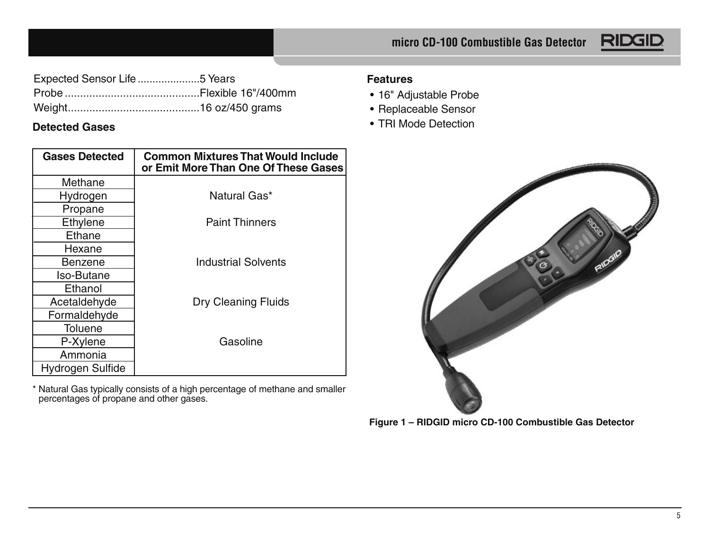

| Expected Sensor Life 5 Years |  |
|------------------------------|--|
|                              |  |
|                              |  |

#### **Detected Gases**

| <b>Gases Detected</b> | <b>Common Mixtures That Would Include</b><br>or Emit More Than One Of These Gases |
|-----------------------|-----------------------------------------------------------------------------------|
| Methane               |                                                                                   |
| Hydrogen              | Natural Gas*                                                                      |
| Propane               |                                                                                   |
| Ethylene              | <b>Paint Thinners</b>                                                             |
| Ethane                |                                                                                   |
| Hexane                |                                                                                   |
| Benzene               | <b>Industrial Solvents</b>                                                        |
| Iso-Butane            |                                                                                   |
| Ethanol               |                                                                                   |
| Acetaldehyde          | Dry Cleaning Fluids                                                               |
| Formaldehyde          |                                                                                   |
| Toluene               |                                                                                   |
| P-Xylene              | Gasoline                                                                          |
| Ammonia               |                                                                                   |
| Hydrogen Sulfide      |                                                                                   |

\* Natural Gas typically consists of a high percentage of methane and smaller percentages of propane and other gases.

#### **Features**

- 16" Adjustable Probe
- Replaceable Sensor
- TRI Mode Detection



**Figure 1 – RIDGID micro CD-100 Combustible Gas Detector**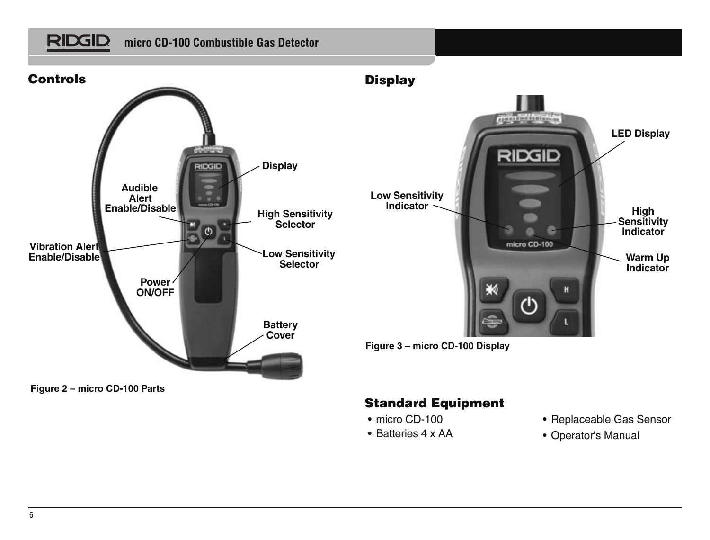**RIDGID** 



**Figure 2 – micro CD-100 Parts**

#### **Standard Equipment**

- micro CD-100
- Batteries 4 x AA
- Replaceable Gas Sensor
- Operator's Manual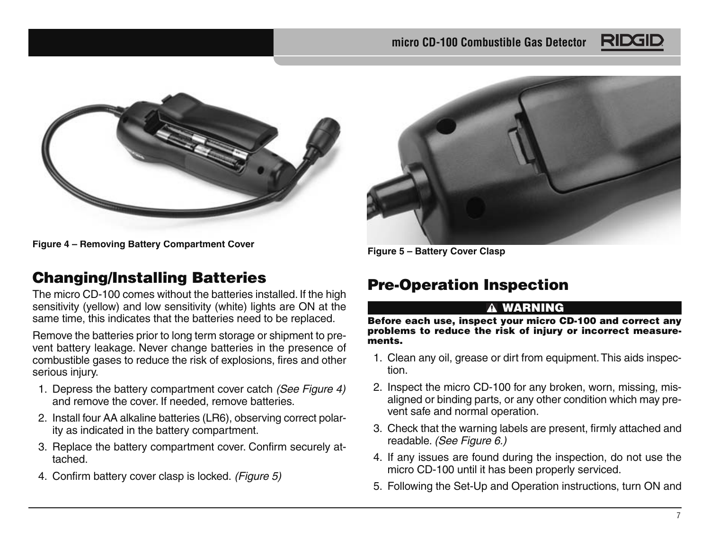



**Figure 4 – Removing Battery Compartment Cover**

## **Changing/Installing Batteries**

The micro CD-100 comes without the batteries installed. If the high sensitivity (yellow) and low sensitivity (white) lights are ON at the same time, this indicates that the batteries need to be replaced.

Remove the batteries prior to long term storage or shipment to prevent battery leakage. Never change batteries in the presence of combustible gases to reduce the risk of explosions, fires and other serious injury.

- 1. Depress the battery compartment cover catch (See Figure 4) and remove the cover. If needed, remove batteries
- 2. Install four AA alkaline batteries (LR6), observing correct polarity as indicated in the battery compartment.
- 3. Replace the battery compartment cover. Confirm securely attached.
- 4. Confirm battery cover clasp is locked. (Figure 5)



**Figure 5 – Battery Cover Clasp**

# **Pre-Operation Inspection**

#### **WARNING**

**Before each use, inspect your micro CD-100 and correct any problems to reduce the risk of injury or incorrect measurements.**

- 1. Clean any oil, grease or dirt from equipment. This aids inspection.
- 2. Inspect the micro CD-100 for any broken, worn, missing, misaligned or binding parts, or any other condition which may prevent safe and normal operation.
- 3. Check that the warning labels are present, firmly attached and readable. (See Figure 6.)
- 4. If any issues are found during the inspection, do not use the micro CD-100 until it has been properly serviced.
- 5. Following the Set-Up and Operation instructions, turn ON and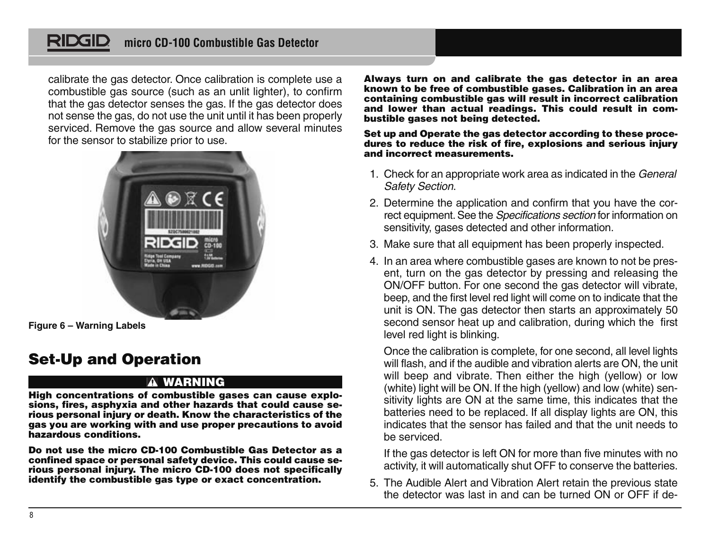calibrate the gas detector. Once calibration is complete use a combustible gas source (such as an unlit lighter), to confirm that the gas detector senses the gas. If the gas detector does not sense the gas, do not use the unit until it has been properly serviced. Remove the gas source and allow several minutes for the sensor to stabilize prior to use.



**Figure 6 – Warning Labels**

# **Set-Up and Operation**

#### **WARNING**

**High concentrations of combustible gases can cause explo sions, fires, asphyxia and other hazards that could cause se rious personal injury or death. Know the characteristics of the gas you are working with and use proper precautions to avoid hazardous conditions.**

**Do not use the micro CD-100 Combustible Gas Detector as a confined space or personal safety device. This could cause se rious personal injury. The micro CD-100 does not specifically identify the combustible gas type or exact concentration.**

**Always turn on and calibrate the gas detector in an area known to be free of combustible gases. Calibration in an area containing combustible gas will result in incorrect calibration and lower than actual readings. This could result in combustible gases not being detected.**

#### **Set up and Operate the gas detector according to these procedures to reduce the risk of fire, explosions and serious injury and incorrect measurements.**

- 1. Check for an appropriate work area as indicated in the General Safety Section.
- 2. Determine the application and confirm that you have the correct equipment. See the Specifications section for information on sensitivity, gases detected and other information.
- 3. Make sure that all equipment has been properly inspected.
- 4. In an area where combustible gases are known to not be present, turn on the gas detector by pressing and releasing the ON/OFF button. For one second the gas detector will vibrate, beep, and the first level red light will come on to indicate that the unit is ON. The gas detector then starts an approximately 50 second sensor heat up and calibration, during which the first level red light is blinking.

Once the calibration is complete, for one second, all level lights will flash, and if the audible and vibration alerts are ON, the unit will beep and vibrate. Then either the high (yellow) or low (white) light will be ON. If the high (yellow) and low (white) sensitivity lights are ON at the same time, this indicates that the batteries need to be replaced. If all display lights are ON, this indicates that the sensor has failed and that the unit needs to be serviced.

If the gas detector is left ON for more than five minutes with no activity, it will automatically shut OFF to conserve the batteries.

5. The Audible Alert and Vibration Alert retain the previous state the detector was last in and can be turned ON or OFF if de-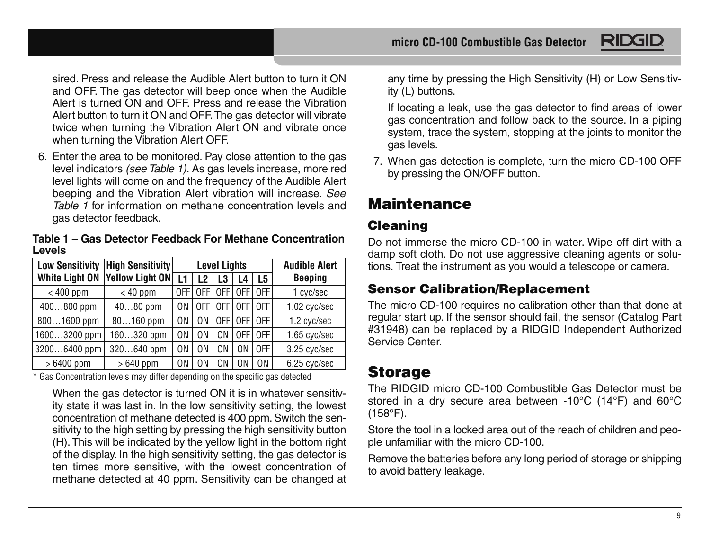sired. Press and release the Audible Alert button to turn it ON and OFF. The gas detector will beep once when the Audible Alert is turned ON and OFF. Press and release the Vibration Alert button to turn it ON and OFF. The gas detector will vibrate twice when turning the Vibration Alert ON and vibrate once when turning the Vibration Alert OFF.

6. Enter the area to be monitored. Pay close attention to the gas level indicators (see Table 1). As gas levels increase, more red level lights will come on and the frequency of the Audible Alert beeping and the Vibration Alert vibration will increase. See Table 1 for information on methane concentration levels and gas detector feedback.

**Table 1 – Gas Detector Feedback For Methane Concentration Levels** 

| <b>Low Sensitivity</b> | <b>High Sensitivity</b> |     | <b>Level Lights</b> |             |        |     | <b>Audible Alert</b> |
|------------------------|-------------------------|-----|---------------------|-------------|--------|-----|----------------------|
| <b>White Light ON</b>  | Yellow Light ON         | L1  | 12                  | L3          | L4     | L5  | Beeping              |
| $< 400$ ppm            | $< 40$ ppm              | 0FF | 0FF                 | LOFF        | [0F]   | OFF | 1 cyc/sec            |
| 400800 ppm             | $4080$ ppm              | ΩN  | 0FF                 | <b>LOFF</b> | I OFF  | OFF | 1.02 cyc/sec         |
| $8001600$ ppm          | $80160$ ppm             | ΩN  | ΩN                  | l OFF       | LOFF I | OFF | 1.2 cyc/sec          |
| $16003200$ ppm         | $160320$ ppm            | ΟN  | ΩN                  | ON          | OFF I  | OFF | 1.65 cyc/sec         |
| 32006400 ppm           | 320640 ppm              | ΩN  | ΩN                  | ΩN          | 0N     | OFF | 3.25 cyc/sec         |
| $>6400$ ppm            | $>640$ ppm              | ΟN  | 0N                  | 0N          | ΩN     | 0N  | 6.25 cyc/sec         |

\* Gas Concentration levels may differ depending on the specific gas detected

When the gas detector is turned ON it is in whatever sensitivity state it was last in. In the low sensitivity setting, the lowest concentration of methane detected is 400 ppm. Switch the sensitivity to the high setting by pressing the high sensitivity button (H). This will be indicated by the yellow light in the bottom right of the display. In the high sensitivity setting, the gas detector is ten times more sensitive, with the lowest concentration of methane detected at 40 ppm. Sensitivity can be changed at

any time by pressing the High Sensitivity (H) or Low Sensitivity (L) buttons.

If locating a leak, use the gas detector to find areas of lower gas concentration and follow back to the source. In a piping system, trace the system, stopping at the joints to monitor the gas levels.

7. When gas detection is complete, turn the micro CD-100 OFF by pressing the ON/OFF button.

# **Maintenance**

## **Cleaning**

Do not immerse the micro CD-100 in water. Wipe off dirt with a damp soft cloth. Do not use aggressive cleaning agents or solutions. Treat the instrument as you would a telescope or camera.

## **Sensor Calibration/Replacement**

The micro CD-100 requires no calibration other than that done at regular start up. If the sensor should fail, the sensor (Catalog Part #31948) can be replaced by a RIDGID Independent Authorized Service Center.

# **Storage**

The RIDGID micro CD-100 Combustible Gas Detector must be stored in a dry secure area between -10°C (14°F) and 60°C (158°F).

Store the tool in a locked area out of the reach of children and people unfamiliar with the micro CD-100.

Remove the batteries before any long period of storage or shipping to avoid battery leakage.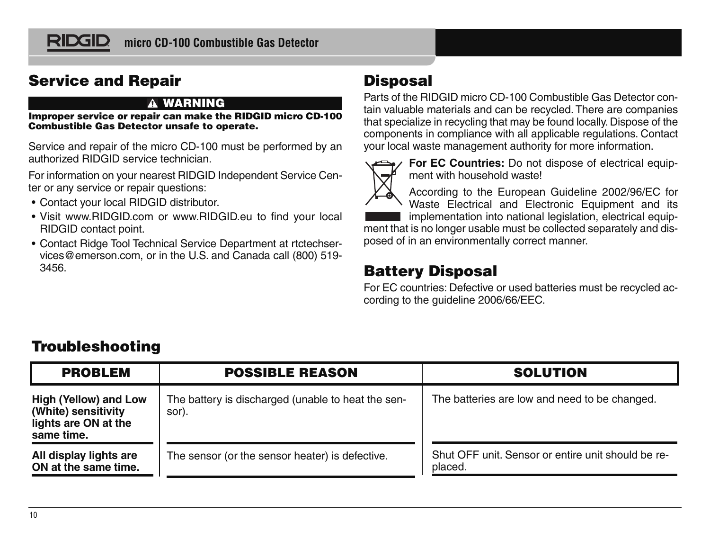

## **Service and Repair**

#### **WARNING**

**Improper service or repair can make the RIDGID micro CD-100 Combustible Gas Detector unsafe to operate.**

Service and repair of the micro CD-100 must be performed by an authorized RIDGID service technician.

For information on your nearest RIDGID Independent Service Center or any service or repair questions:

- Contact your local RIDGID distributor.
- Visit www.RIDGID.com or www.RIDGID.eu to find your local RIDGID contact point.
- Contact Ridge Tool Technical Service Department at rtctechservices@emerson.com, or in the U.S. and Canada call (800) 519- 3456.

# **Disposal**

Parts of the RIDGID micro CD-100 Combustible Gas Detector contain valuable materials and can be recycled. There are companies that specialize in recycling that may be found locally. Dispose of the com ponents in compliance with all applicable regulations. Contact your local waste management authority for more information.



**For EC Countries:** Do not dispose of electrical equipment with household waste!

According to the European Guideline 2002/96/EC for Waste Electrical and Electronic Equipment and its implementation into national legislation, electrical equip-

ment that is no longer usable must be collected separately and disposed of in an environmentally correct manner.

# **Battery Disposal**

For EC countries: Defective or used batteries must be recycled according to the guideline 2006/66/EEC.

# **Troubleshooting**

| <b>POSSIBLE REASON</b><br><b>PROBLEM</b>                                                                                                          |                                                 | <b>SOLUTION</b>                                               |  |  |
|---------------------------------------------------------------------------------------------------------------------------------------------------|-------------------------------------------------|---------------------------------------------------------------|--|--|
| The battery is discharged (unable to heat the sen-<br>High (Yellow) and Low<br>(White) sensitivity<br>sor).<br>lights are ON at the<br>same time. |                                                 | The batteries are low and need to be changed.                 |  |  |
| All display lights are<br>ON at the same time.                                                                                                    | The sensor (or the sensor heater) is defective. | Shut OFF unit. Sensor or entire unit should be re-<br>placed. |  |  |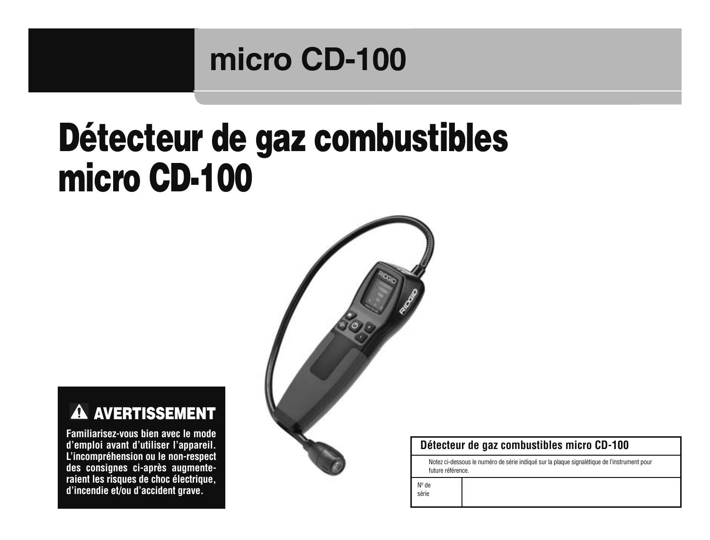# **micro CD-100**

# **Détecteur de gaz combustibles micro CD-100**



#### $\mathbf{\Lambda}$ **AVERTISSEMENT**

**Familiarisez-vous bien avec le mode d'emploi avant d'utiliser l'appareil. L'incompréhension ou le non-respect des consignes ci-après augmente raient les risques de choc électrique, d'incendie et/ou d'accident grave.**

#### **Détecteur de gaz combustibles micro CD-100**

Notez ci-dessous le numéro de série indiqué sur la plaque signalétique de l'instrument pour future référence.

Nº de

série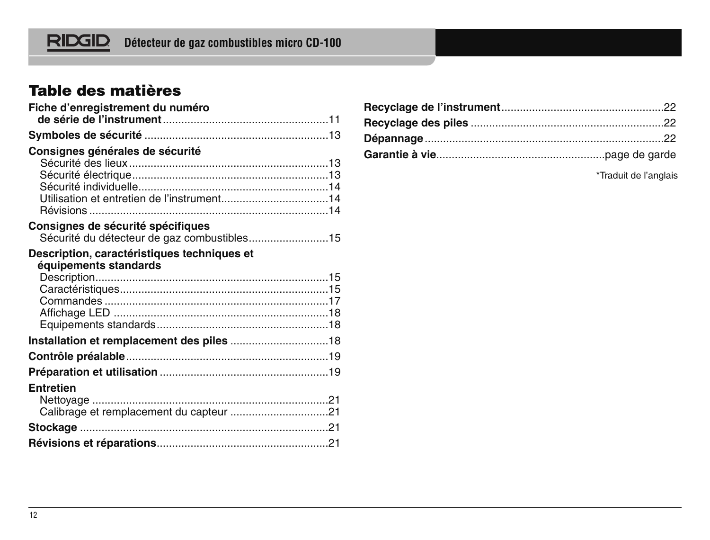

# **Table des matières**

| Fiche d'enregistrement du numéro                                                 |  |
|----------------------------------------------------------------------------------|--|
|                                                                                  |  |
| Consignes générales de sécurité                                                  |  |
| Consignes de sécurité spécifiques<br>Sécurité du détecteur de gaz combustibles15 |  |
| Description, caractéristiques techniques et<br>équipements standards             |  |
|                                                                                  |  |
|                                                                                  |  |
|                                                                                  |  |
| Entretien                                                                        |  |
|                                                                                  |  |
|                                                                                  |  |

\*Traduit de l'anglais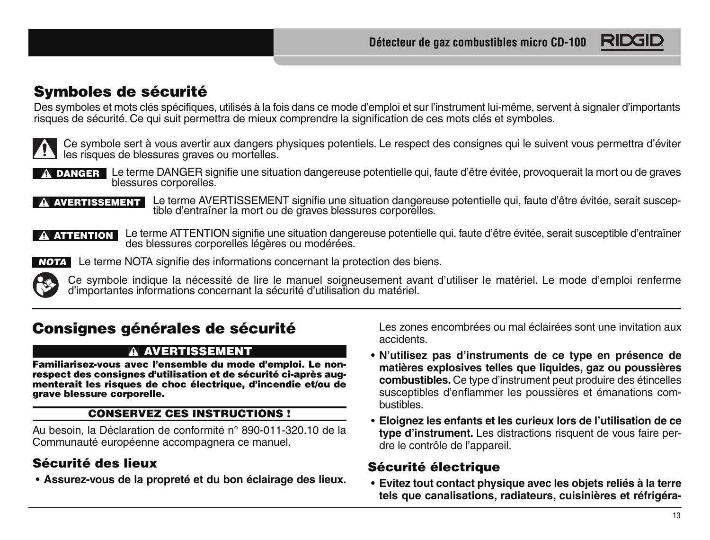

## **Symboles de sécurité**

Des symboles et mots clés spécifiques, utilisés à la fois dans ce mode d'emploi et sur l'instrument lui-même, servent à signaler d'importants risques de sécurité. Ce qui suit permettra de mieux comprendre la signification de ces mots clés et symboles.



Ce symbole sert à vous avertir aux dangers physiques potentiels. Le respect des consignes qui le suivent vous permettra d'éviter les risques de blessures graves ou mortelles.



Le terme DANGER signifie une situation dangereuse potentielle qui, faute d'être évitée, provoquerait la mort ou de graves blessures corporelles. **DANGER**

**AVERTISSEMENT L**e terme AVERTISSEMENT signifie une situation dangereuse potentielle qui, faute d'être évitée, serait suscep-<br>tible d'entraîner la mort ou de graves blessures corporelles.



Le terme ATTENTION signifie une situation dangereuse potentielle qui, faute d'être évitée, serait susceptible d'entraîner des blessures corporelles légères ou modérées. **ATTENTION**



Le terme NOTA signifie des informations concernant la protection des biens. **NOTA**

Ce symbole indique la nécessité de lire le manuel soigneusement avant d'utiliser le matériel. Le mode d'emploi renferme d'importantes informations concernant la sécurité d'utilisation du matériel.

## **Consignes générales de sécurité**

#### **AVERTISSEMENT**

**Familiarisez-vous avec l'ensemble du mode d'emploi. Le non respect des consignes d'utilisation et de sécurité ci-après aug menterait les risques de choc électrique, d'incendie et/ou de grave blessure corporelle.**

#### **CONSERVEZ CES INSTRUCTIONS !**

Au besoin, la Déclaration de conformité n° 890-011-320.10 de la Communauté européenne accompagnera ce manuel.

## **Sécurité des lieux**

• **Assurez-vous de la propreté et du bon éclairage des lieux.**

Les zones encombrées ou mal éclairées sont une invitation aux accidents.

- **N'utilisez pas d'instruments de ce type en présence de matières explosives telles que liquides, gaz ou poussières combustibles.** Ce type d'instrument peut produire des étincelles susceptibles d'enflammer les poussières et émanations combustibles.
- **Eloignez les enfants et les curieux lors de l'utilisation de ce type d'instrument.** Les distractions risquent de vous faire perdre le contrôle de l'appareil.

#### **Sécurité électrique**

• **Evitez tout contact physique avec les objets reliés à la terre tels que canalisations, radiateurs, cuisinières et réfrigéra-**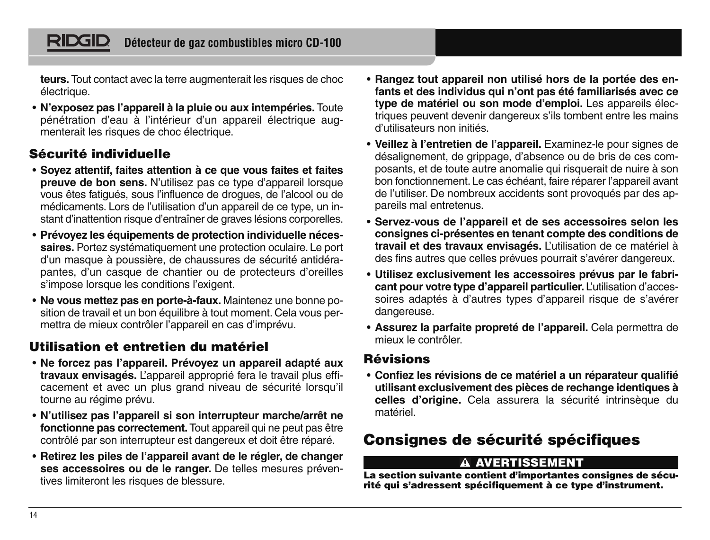**teurs.** Tout contact avec la terre augmenterait les risques de choc électrique.

• **N'exposez pas l'appareil à la pluie ou aux intempéries.** Toute pénétration d'eau à l'intérieur d'un appareil électrique augmenterait les risques de choc électrique.

## **Sécurité individuelle**

- **Soyez attentif, faites attention à ce que vous faites et faites preuve de bon sens.** N'utilisez pas ce type d'appareil lorsque vous êtes fatigués, sous l'influence de drogues, de l'alcool ou de médicaments. Lors de l'utilisation d'un appareil de ce type, un instant d'inattention risque d'entraîner de graves lésions corporelles.
- **Prévoyez les équipements de protection individuelle nécessaires.** Portez systématiquement une protection oculaire. Le port d'un masque à poussière, de chaussures de sécurité antidérapantes, d'un casque de chantier ou de protecteurs d'oreilles s'impose lorsque les conditions l'exigent.
- **Ne vous mettez pas en porte-à-faux.** Maintenez une bonne position de travail et un bon équilibre à tout moment. Cela vous permettra de mieux contrôler l'appareil en cas d'imprévu.

## **Utilisation et entretien du matériel**

- **Ne forcez pas l'appareil. Prévoyez un appareil adapté aux travaux envisagés.** L'appareil approprié fera le travail plus efficacement et avec un plus grand niveau de sécurité lorsqu'il tourne au régime prévu.
- **N'utilisez pas l'appareil si son interrupteur marche/arrêt ne fonctionne pas correctement.** Tout appareil qui ne peut pas être contrôlé par son interrupteur est dangereux et doit être réparé.
- **Retirez les piles de l'appareil avant de le régler, de changer ses accessoires ou de le ranger.** De telles mesures préventives limiteront les risques de blessure.
- **Rangez tout appareil non utilisé hors de la portée des enfants et des individus qui n'ont pas été familiarisés avec ce type de matériel ou son mode d'emploi.** Les appareils électriques peuvent devenir dangereux s'ils tombent entre les mains d'utilisateurs non initiés.
- **Veillez à l'entretien de l'appareil.** Examinez-le pour signes de désalignement, de grippage, d'absence ou de bris de ces composants, et de toute autre anomalie qui risquerait de nuire à son bon fonctionnement. Le cas échéant, faire réparer l'appareil avant de l'utiliser. De nombreux accidents sont provoqués par des appareils mal entretenus.
- **Servez-vous de l'appareil et de ses accessoires selon les consignes ci-présentes en tenant compte des conditions de travail et des travaux envisagés.** L'utilisation de ce matériel à des fins autres que celles prévues pourrait s'avérer dangereux.
- **Utilisez exclusivement les accessoires prévus par le fabricant pour votre type d'appareil particulier.** L'utilisation d'acces soires adaptés à d'autres types d'appareil risque de s'avérer dangereuse.
- **Assurez la parfaite propreté de l'appareil.** Cela permettra de mieux le contrôler.

#### **Révisions**

• **Confiez les révisions de ce matériel a un réparateur qualifié utilisant exclusivement des pièces de rechange identiques à celles d'origine.** Cela assurera la sécurité intrinsèque du matériel.

# **Consignes de sécurité spécifiques**

#### **AVERTISSEMENT**

**La section suivante contient d'importantes consignes de sécurité qui s'adressent spécifiquement à ce type d'instrument.**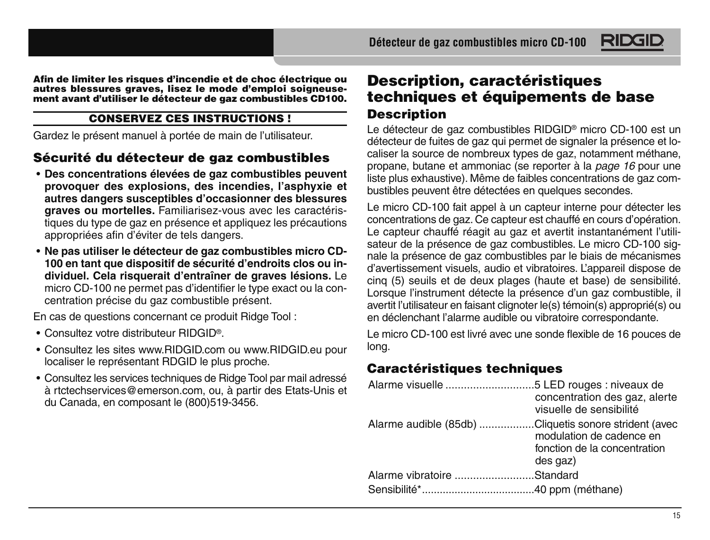**Afin de limiter les risques d'incendie et de choc électrique ou autres blessures graves, lisez le mode d'emploi soigneusement avant d'utiliser le détecteur de gaz combustibles CD100.**

#### **CONSERVEZ CES INSTRUCTIONS !**

Gardez le présent manuel à portée de main de l'utilisateur.

#### **Sécurité du détecteur de gaz combustibles**

- **Des concentrations élevées de gaz combustibles peuvent provoquer des explosions, des incendies, l'asphyxie et autres dangers susceptibles d'occasionner des blessures graves ou mortelles.** Familiarisez-vous avec les caractéristiques du type de gaz en présence et appliquez les précautions appropriées afin d'éviter de tels dangers.
- **Ne pas utiliser le détecteur de gaz combustibles micro CD-100 en tant que dispositif de sécurité d'endroits clos ou individuel. Cela risquerait d'entraîner de graves lésions.** Le micro CD-100 ne permet pas d'identifier le type exact ou la concentration précise du gaz combustible présent.

En cas de questions concernant ce produit Ridge Tool :

- Consultez votre distributeur RIDGID®.
- Consultez les sites www.RIDGID.com ou www.RIDGID.eu pour localiser le représentant RDGID le plus proche.
- Consultez les services techniques de Ridge Tool par mail adressé à rtctechservices@emerson.com, ou, à partir des Etats-Unis et du Canada, en composant le (800)519-3456.

## **Description, caractéristiques techniques et équipements de base Description**

Le détecteur de gaz combustibles RIDGID® micro CD-100 est un détecteur de fuites de gaz qui permet de signaler la présence et localiser la source de nombreux types de gaz, notamment méthane, propane, butane et ammoniac (se reporter à la page 16 pour une liste plus exhaustive). Même de faibles concentrations de gaz combustibles peuvent être détectées en quelques secondes.

RIDG

Le micro CD-100 fait appel à un capteur interne pour détecter les concentrations de gaz. Ce capteur est chauffé en cours d'opération. Le capteur chauffé réagit au gaz et avertit instantanément l'utilisateur de la présence de gaz combustibles. Le micro CD-100 signale la présence de gaz combustibles par le biais de mécanismes d'avertissement visuels, audio et vibratoires. L'appareil dispose de cinq (5) seuils et de deux plages (haute et base) de sensibilité. Lorsque l'instrument détecte la présence d'un gaz combustible, il avertit l'utilisateur en faisant clignoter le(s) témoin(s) approprié(s) ou en déclenchant l'alarme audible ou vibratoire correspondante.

Le micro CD-100 est livré avec une sonde flexible de 16 pouces de long.

## **Caractéristiques techniques**

|                                                       | concentration des gaz, alerte<br>visuelle de sensibilité             |
|-------------------------------------------------------|----------------------------------------------------------------------|
| Alarme audible (85db) Cliquetis sonore strident (avec | modulation de cadence en<br>fonction de la concentration<br>des gaz) |
| Alarme vibratoire Standard                            |                                                                      |
|                                                       |                                                                      |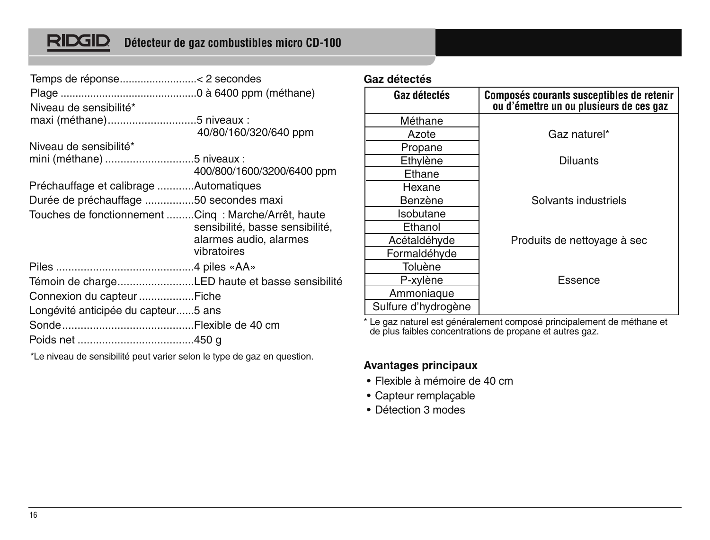# **RIDGID**

## **Détecteur de gaz combustibles micro CD-100**

| Niveau de sensibilité*                              |                                                                          |
|-----------------------------------------------------|--------------------------------------------------------------------------|
| maxi (méthane)5 niveaux :                           |                                                                          |
|                                                     | 40/80/160/320/640 ppm                                                    |
| Niveau de sensibilité*                              |                                                                          |
| mini (méthane) 5 niveaux :                          |                                                                          |
|                                                     | 400/800/1600/3200/6400 ppm                                               |
| Préchauffage et calibrage Automatiques              |                                                                          |
| Durée de préchauffage 50 secondes maxi              |                                                                          |
| Touches de fonctionnement Cing: Marche/Arrêt, haute | sensibilité, basse sensibilité,<br>alarmes audio, alarmes<br>vibratoires |
|                                                     |                                                                          |
| Témoin de chargeLED haute et basse sensibilité      |                                                                          |
|                                                     |                                                                          |
| Longévité anticipée du capteur5 ans                 |                                                                          |
|                                                     |                                                                          |
|                                                     |                                                                          |

\*Le niveau de sensibilité peut varier selon le type de gaz en question.

#### **Gaz détectés**

| Gaz détectés        | Composés courants susceptibles de retenir<br>ou d'émettre un ou plusieurs de ces gaz |
|---------------------|--------------------------------------------------------------------------------------|
| Méthane             |                                                                                      |
| Azote               | Gaz naturel*                                                                         |
| Propane             |                                                                                      |
| Ethylène            | <b>Diluants</b>                                                                      |
| Ethane              |                                                                                      |
| Hexane              |                                                                                      |
| Benzène             | Solvants industriels                                                                 |
| Isobutane           |                                                                                      |
| Ethanol             |                                                                                      |
| Acétaldéhyde        | Produits de nettoyage à sec                                                          |
| Formaldéhyde        |                                                                                      |
| Toluène             |                                                                                      |
| P-xylène            | Essence                                                                              |
| Ammoniaque          |                                                                                      |
| Sulfure d'hydrogène |                                                                                      |

\* Le gaz naturel est généralement composé principalement de méthane et de plus faibles concentrations de propane et autres gaz.

#### **Avantages principaux**

- Flexible à mémoire de 40 cm
- Capteur remplaçable
- Détection 3 modes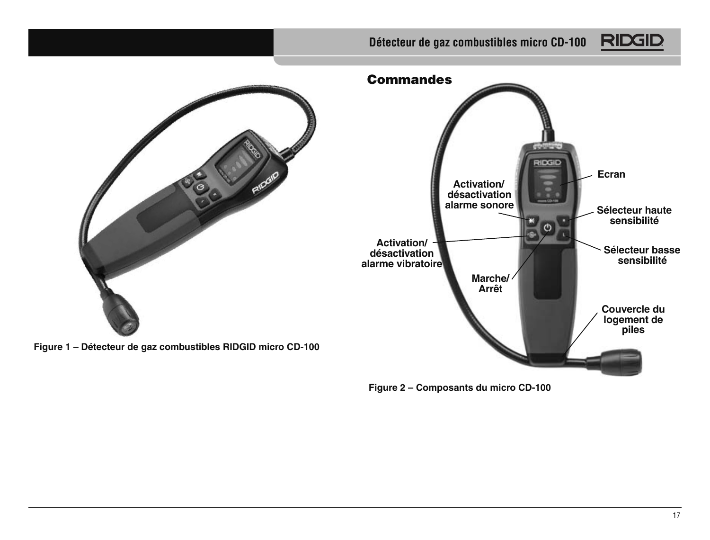## **Détecteur de gaz combustibles micro CD-100**





**Figure 2 – Composants du micro CD-100**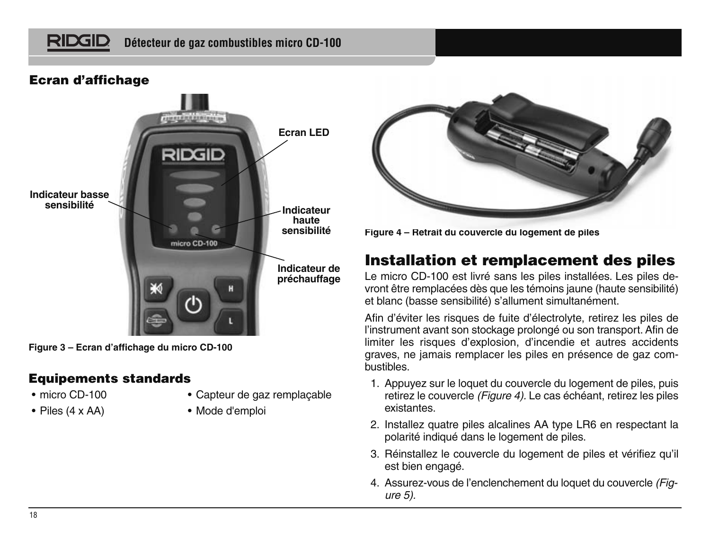#### RIDGID **Détecteur de gaz combustibles micro CD-100**

## **Ecran d'affichage**



**Figure 3 – Ecran d'affichage du micro CD-100**

#### **Equipements standards**

- micro CD-100
- Piles (4 x AA)
- Capteur de gaz remplaçable
- Mode d'emploi





## **Installation et remplacement des piles**

Le micro CD-100 est livré sans les piles installées. Les piles devront être remplacées dès que les témoins jaune (haute sensibilité) et blanc (basse sensibilité) s'allument simultanément.

Afin d'éviter les risques de fuite d'électrolyte, retirez les piles de l'instrument avant son stockage prolongé ou son transport. Afin de limiter les risques d'explosion, d'incendie et autres accidents graves, ne jamais remplacer les piles en présence de gaz combustibles.

- 1. Appuyez sur le loquet du couvercle du logement de piles, puis retirez le couvercle *(Figure 4)*. Le cas échéant, retirez les piles existantes.
- 2. Installez quatre piles alcalines AA type LR6 en respectant la polarité indiqué dans le logement de piles.
- 3. Réinstallez le couvercle du logement de piles et vérifiez qu'il est bien engagé.
- 4. Assurez-vous de l'enclenchement du loquet du couvercle (Figure 5).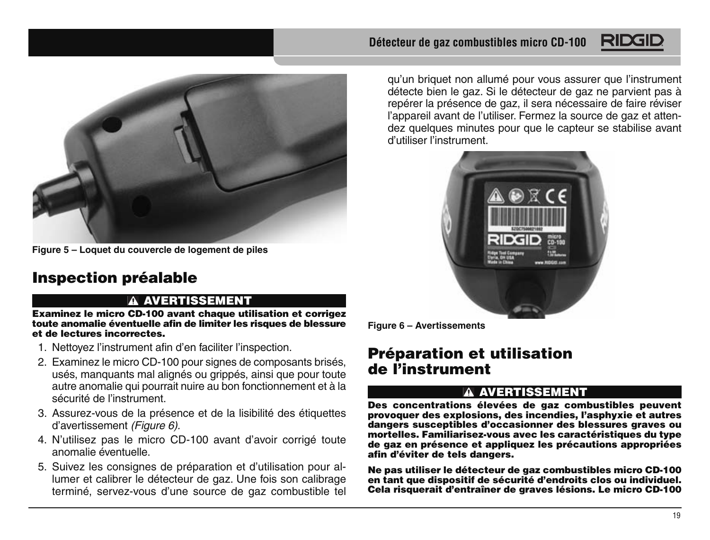

**Figure 5 – Loquet du couvercle de logement de piles**

# **Inspection préalable**

#### **AVERTISSEMENT**

**Examinez le micro CD-100 avant chaque utilisation et corrigez toute anomalie éventuelle afin de limiter les risques de blessure et de lectures incorrectes.**

- 1. Nettoyez l'instrument afin d'en faciliter l'inspection.
- 2. Examinez le micro CD-100 pour signes de composants brisés, usés, manquants mal alignés ou grippés, ainsi que pour toute autre anomalie qui pourrait nuire au bon fonctionnement et à la sécurité de l'instrument.
- 3. Assurez-vous de la présence et de la lisibilité des étiquettes d'avertissement (Figure 6).
- 4. N'utilisez pas le micro CD-100 avant d'avoir corrigé toute anomalie éventuelle.
- 5. Suivez les consignes de préparation et d'utilisation pour allumer et calibrer le détecteur de gaz. Une fois son calibrage terminé, servez-vous d'une source de gaz combustible tel

#### **Détecteur de gaz combustibles micro CD-100**

qu'un briquet non allumé pour vous assurer que l'instrument détecte bien le gaz. Si le détecteur de gaz ne parvient pas à repérer la présence de gaz, il sera nécessaire de faire réviser l'appareil avant de l'utiliser. Fermez la source de gaz et attendez quelques minutes pour que le capteur se stabilise avant d'utiliser l'instrument.



**Figure 6 – Avertissements**

## **Préparation et utilisation de l'instrument**

#### **AVERTISSEMENT**

**Des concentrations élevées de gaz combustibles peuvent provoquer des explosions, des incendies, l'asphyxie et autres dangers susceptibles d'occasionner des blessures graves ou mortelles. Familiarisez-vous avec les caractéristiques du type de gaz en présence et appliquez les précautions appropriées afin d'éviter de tels dangers.**

**Ne pas utiliser le détecteur de gaz combustibles micro CD-100 en tant que dispositif de sécurité d'endroits clos ou individuel. Cela risquerait d'entraîner de graves lésions. Le micro CD-100**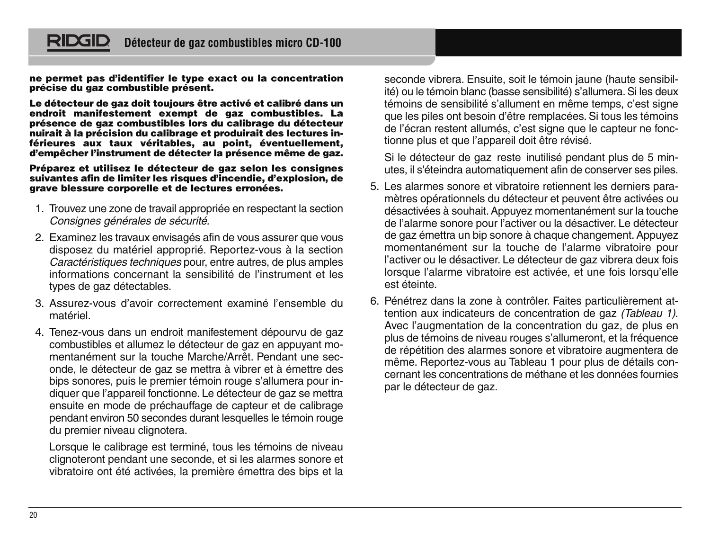#### **Détecteur de gaz combustibles micro CD-100**

**ne permet pas d'identifier le type exact ou la concentration précise du gaz combustible présent.**

RIDGIL

**Le détecteur de gaz doit toujours être activé et calibré dans un endroit manifestement exempt de gaz combustibles. La présence de gaz combustibles lors du calibrage du détecteur nuirait à la précision du calibrage et produirait des lectures inférieures aux taux véritables, au point, éventuellement, d'empêcher l'instrument de détecter la présence même de gaz.**

**Préparez et utilisez le détecteur de gaz selon les consignes suivantes afin de limiter les risques d'incendie, d'explosion, de grave blessure corporelle et de lectures erronées.**

- 1. Trouvez une zone de travail appropriée en respectant la section Consignes générales de sécurité.
- 2. Examinez les travaux envisagés afin de vous assurer que vous disposez du matériel approprié. Reportez-vous à la section Caractéristiques techniques pour, entre autres, de plus amples informations concernant la sensibilité de l'instrument et les types de gaz détectables.
- 3. Assurez-vous d'avoir correctement examiné l'ensemble du matériel.
- 4. Tenez-vous dans un endroit manifestement dépourvu de gaz combustibles et allumez le détecteur de gaz en appuyant momentanément sur la touche Marche/Arrêt. Pendant une seconde, le détecteur de gaz se mettra à vibrer et à émettre des bips sonores, puis le premier témoin rouge s'allumera pour indiquer que l'appareil fonctionne. Le détecteur de gaz se mettra ensuite en mode de préchauffage de capteur et de calibrage pendant environ 50 secondes durant lesquelles le témoin rouge .<br>du premier niveau clignotera.

Lorsque le calibrage est terminé, tous les témoins de niveau clignoteront pendant une seconde, et si les alarmes sonore et vibratoire ont été activées, la première émettra des bips et la

seconde vibrera. Ensuite, soit le témoin jaune (haute sensibilité) ou le témoin blanc (basse sensibilité) s'allumera. Si les deux témoins de sensibilité s'allument en même temps, c'est signe que les piles ont besoin d'être remplacées. Si tous les témoins de l'écran restent allumés, c'est signe que le capteur ne fonctionne plus et que l'appareil doit être révisé.

Si le détecteur de gaz reste inutilisé pendant plus de 5 minutes, il s'éteindra automatiquement afin de conserver ses piles.

- 5. Les alarmes sonore et vibratoire retiennent les derniers para mètres opérationnels du détecteur et peuvent être activées ou désactivées à souhait. Appuyez momentanément sur la touche de l'alarme sonore pour l'activer ou la désactiver. Le détecteur de gaz émettra un bip sonore à chaque changement. Appuyez momentanément sur la touche de l'alarme vibratoire pour l'activer ou le désactiver. Le détecteur de gaz vibrera deux fois lorsque l'alarme vibratoire est activée, et une fois lorsqu'elle est éteinte.
- 6. Pénétrez dans la zone à contrôler. Faites particulièrement attention aux indicateurs de concentration de gaz (Tableau 1). Avec l'augmentation de la concentration du gaz, de plus en plus de témoins de niveau rouges s'allumeront, et la fréquence de répétition des alarmes sonore et vibratoire augmentera de même. Reportez-vous au Tableau 1 pour plus de détails concernant les concentrations de méthane et les données fournies par le détecteur de gaz.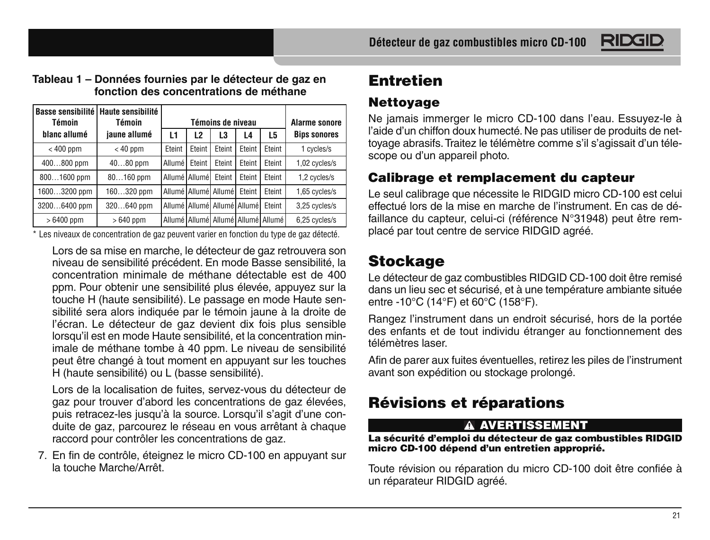

#### **Tableau 1 – Données fournies par le détecteur de gaz en fonction des concentrations de méthane**

| Témoin       | Basse sensibilité   Haute sensibilité<br>Témoin | Témoins de niveau   |               |                                        |        | <b>Alarme sonore</b>                       |                     |
|--------------|-------------------------------------------------|---------------------|---------------|----------------------------------------|--------|--------------------------------------------|---------------------|
| blanc allumé | iaune allumé                                    | L1                  | L2            | L3                                     | L4     | L5                                         | <b>Bips sonores</b> |
| $< 400$ ppm  | $< 40$ ppm                                      | Fteint              | Fteint        | Eteint                                 | Eteint | Fteint                                     | 1 cycles/s          |
| 400800 ppm   | $4080$ ppm                                      | Allumé <sup>l</sup> | Fteint        | Fteint                                 | Eteint | Fteint                                     | 1,02 cycles/s       |
| 8001600 ppm  | $80160$ ppm                                     |                     | Allumé Allumé | Eteint                                 | Eteint | Fteint                                     | 1.2 cycles/s        |
| 16003200 ppm | 160320 ppm                                      |                     |               | Allumé   Allumé   Allumé               | Fteint | Fteint                                     | 1,65 cycles/s       |
| 32006400 ppm | 320640 ppm                                      |                     |               | Allumé Allumé Allumé   Allumé   Eteint |        |                                            | 3,25 cycles/s       |
| $>6400$ ppm  | $>640$ ppm                                      |                     |               |                                        |        | Allumé   Allumé   Allumé   Allumé   Allumé | 6,25 cycles/s       |

\* Les niveaux de concentration de gaz peuvent varier en fonction du type de gaz détecté.

Lors de sa mise en marche, le détecteur de gaz retrouvera son niveau de sensibilité précédent. En mode Basse sensibilité, la concentration minimale de méthane détectable est de 400 ppm. Pour obtenir une sensibilité plus élevée, appuyez sur la touche H (haute sensibilité). Le passage en mode Haute sensibilité sera alors indiquée par le témoin jaune à la droite de l'écran. Le détecteur de gaz devient dix fois plus sensible lorsqu'il est en mode Haute sensibilité, et la concentration minimale de méthane tombe à 40 ppm. Le niveau de sensibilité peut être changé à tout moment en appuyant sur les touches H (haute sensibilité) ou L (basse sensibilité).

Lors de la localisation de fuites, servez-vous du détecteur de gaz pour trouver d'abord les concentrations de gaz élevées, puis retracez-les jusqu'à la source. Lorsqu'il s'agit d'une conduite de gaz, parcourez le réseau en vous arrêtant à chaque raccord pour contrôler les concentrations de gaz.

7. En fin de contrôle, éteignez le micro CD-100 en appuyant sur la touche Marche/Arrêt.

# **Entretien**

## **Nettoyage**

Ne jamais immerger le micro CD-100 dans l'eau. Essuyez-le à l'aide d'un chiffon doux humecté. Ne pas utiliser de produits de nettoyage abrasifs. Traitez le télémètre comme s'il s'agissait d'un télescope ou d'un appareil photo.

## **Calibrage et remplacement du capteur**

Le seul calibrage que nécessite le RIDGID micro CD-100 est celui effectué lors de la mise en marche de l'instrument. En cas de défaillance du capteur, celui-ci (référence N°31948) peut être remplacé par tout centre de service RIDGID agréé.

# **Stockage**

Le détecteur de gaz combustibles RIDGID CD-100 doit être remisé dans un lieu sec et sécurisé, et à une température ambiante située entre -10°C (14°F) et 60°C (158°F).

Rangez l'instrument dans un endroit sécurisé, hors de la portée des enfants et de tout individu étranger au fonctionnement des télémètres laser.

Afin de parer aux fuites éventuelles, retirez les piles de l'instrument avant son expédition ou stockage prolongé.

# **Révisions et réparations**

#### **AVERTISSEMENT**

**La sécurité d'emploi du détecteur de gaz combustibles RIDGID micro CD-100 dépend d'un entretien approprié.**

Toute révision ou réparation du micro CD-100 doit être confiée à un réparateur RIDGID agréé.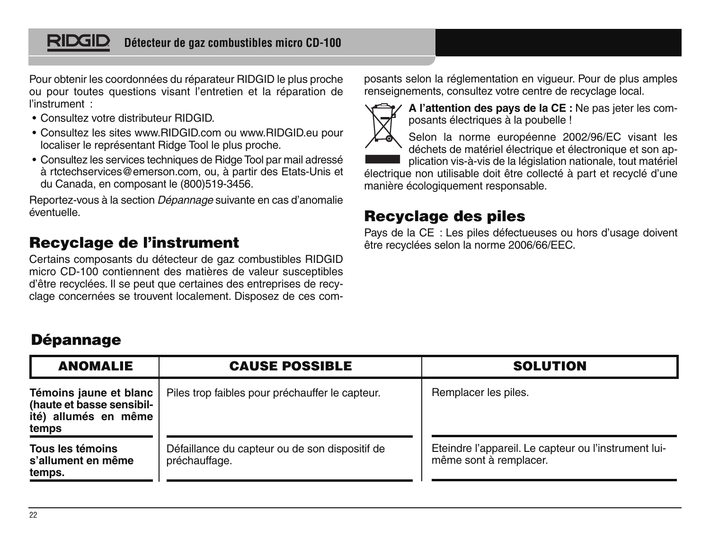#### RIDGID **Détecteur de gaz combustibles micro CD-100**

Pour obtenir les coordonnées du réparateur RIDGID le plus proche ou pour toutes questions visant l'entretien et la réparation de l'instrument :

- Consultez votre distributeur RIDGID.
- Consultez les sites www.RIDGID.com ou www.RIDGID.eu pour localiser le représentant Ridge Tool le plus proche.
- Consultez les services techniques de Ridge Tool par mail adressé à rtctechservices@emerson.com, ou, à partir des Etats-Unis et du Canada, en composant le (800)519-3456.

Reportez-vous à la section Dépannage suivante en cas d'anomalie éventuelle.

## **Recyclage de l'instrument**

**Dépannage**

Certains composants du détecteur de gaz combustibles RIDGID micro CD-100 contiennent des matières de valeur susceptibles d'être recyclées. Il se peut que certaines des entreprises de recyclage concernées se trouvent localement. Disposez de ces composants selon la réglementation en vigueur. Pour de plus amples renseignements, consultez votre centre de recyclage local.



**A l'attention des pays de la CE :** Ne pas jeter les composants électriques à la poubelle !

Selon la norme européenne 2002/96/EC visant les déchets de matériel électrique et électronique et son ap-

plication vis-à-vis de la législation nationale, tout matériel

électrique non utilisable doit être collecté à part et recyclé d'une manière écologiquement responsable.

## **Recyclage des piles**

Pays de la CE : Les piles défectueuses ou hors d'usage doivent être recyclées selon la norme 2006/66/EEC.

#### **Témoins jaune et blanc (haute et basse sensibilité) allumés en même temps Tous les témoins s'allument en même temps.** Piles trop faibles pour préchauffer le capteur. Défaillance du capteur ou de son dispositif de préchauffage. Remplacer les piles. Eteindre l'appareil. Le capteur ou l'instrument luimême sont à remplacer. **ANOMALIE CAUSE POSSIBLE SOLUTION**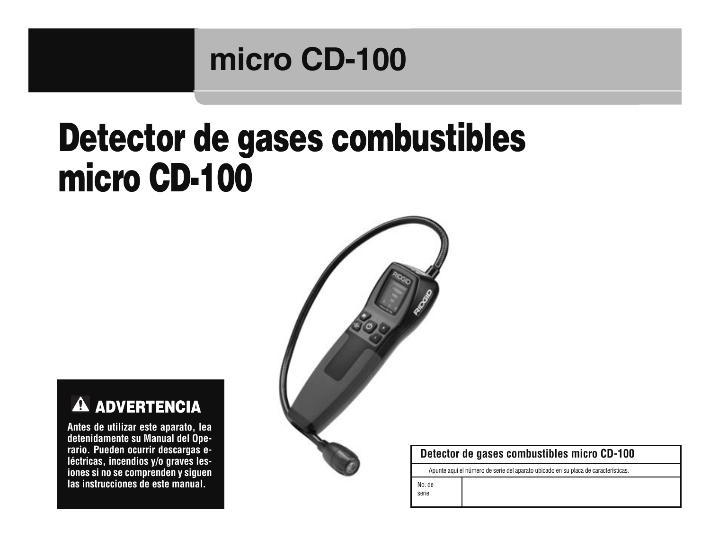# **micro CD-100**

# **Detector de gases combustibles micro CD-100**



**Antes de utilizar este aparato, lea detenidamente su Manual del Ope rario. Pueden ocurrir descargas e léc tri cas, incendios y/o graves les iones si no se comprenden y siguen las instrucciones de este manual.** 



#### **Detector de gases combustibles micro CD-100**

Apunte aquí el número de serie del aparato ubicado en su placa de características.

No. de serie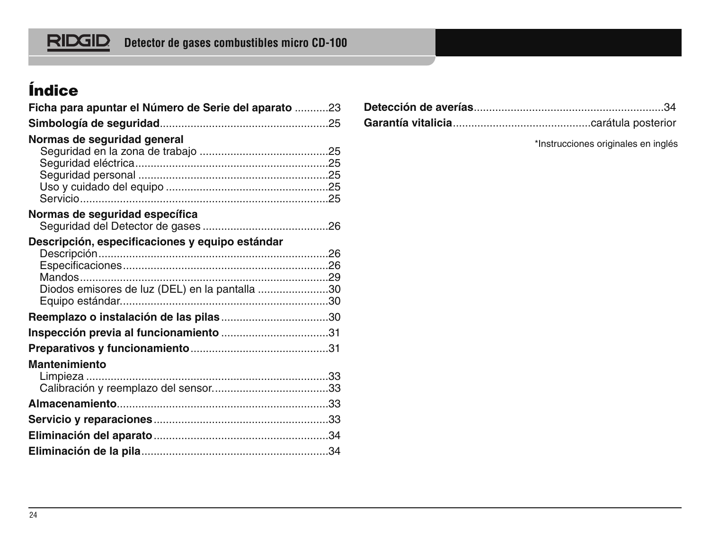# **Detector de gases combustibles micro CD-100**

# **Índice**

| Ficha para apuntar el Número de Serie del aparato 23 |  |
|------------------------------------------------------|--|
|                                                      |  |
| Normas de sequridad general                          |  |
|                                                      |  |
|                                                      |  |
|                                                      |  |
|                                                      |  |
| Normas de seguridad específica                       |  |
|                                                      |  |
| Descripción, especificaciones y equipo estándar      |  |
|                                                      |  |
|                                                      |  |
| Diodos emisores de luz (DEL) en la pantalla 30       |  |
|                                                      |  |
| Reemplazo o instalación de las pilas30               |  |
|                                                      |  |
|                                                      |  |
| <b>Mantenimiento</b>                                 |  |
|                                                      |  |
|                                                      |  |
|                                                      |  |
|                                                      |  |
|                                                      |  |
|                                                      |  |

\*Instrucciones originales en inglés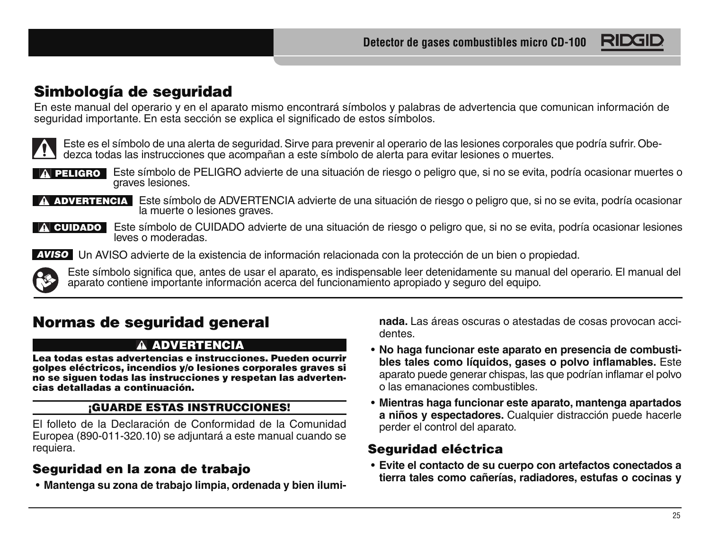

## **Simbología de seguridad**

En este manual del operario y en el aparato mismo encontrará símbolos y palabras de advertencia que comunican información de<br>seguridad importante. En esta sección se explica el significado de estos símbolos.



Este es el símbolo de una alerta de seguridad. Sirve para prevenir al operario de las lesiones corporales que podría sufrir. Obe-<br>dezca todas las instrucciones que acompañan a este símbolo de alerta para evitar lesiones o

parte de símbolo de PELIGRO advierte de una situación de riesgo o peligro que, si no se evita, podría ocasionar muertes o

ADVERTENCIA Este símbolo de ADVERTENCIA advierte de una situación de riesgo o peligro que, si no se evita, podría ocasionar la muerte o lesiones graves. A PELIGRO Este simbolo de PELIGRO advierte de una situación de riesgo o peligro que, si no se evita, podría ocasionar muertes de una situación de riesgo o peligro que, si no se evita, podría ocasionales la muerte o lesione



A CUIDADO Este símbolo de CUIDADO advierte de una situación de riesgo o peligro que, si no se evita, podría ocasionar lesiones leves o moderadas.

AVISO Un AVISO advierte de la existencia de información relacionada con la protección de un bien o propiedad.



# **Normas de seguridad general**

#### **ADVERTENCIA**

**Lea todas estas advertencias e instrucciones. Pueden ocurrir golpes eléctricos, incendios y/o lesiones corporales graves si no se siguen todas las instrucciones y respetan las advertencias detalladas a continuación.**

#### **¡GUARDE ESTAS INSTRUCCIONES!**

El folleto de la Declaración de Conformidad de la Comunidad Europea (890-011-320.10) se adjuntará a este manual cuando se requiera.

## **Seguridad en la zona de trabajo**

• **Mantenga su zona de trabajo limpia, ordenada y bien ilumi-**

**nada.** Las áreas oscuras o atestadas de cosas provocan accidentes.

- **No haga funcionar este aparato en presencia de combusti bles tales como líquidos, gases o polvo inflamables.** Este aparato puede generar chispas, las que podrían inflamar el polvo o las emanaciones combustibles.
- **Mientras haga funcionar este aparato, mantenga apartados a niños y espectadores.** Cualquier distracción puede hacerle perder el control del aparato.

## **Seguridad eléctrica**

• **Evite el contacto de su cuerpo con artefactos conectados a tierra tales como cañerías, radiadores, estufas o cocinas y**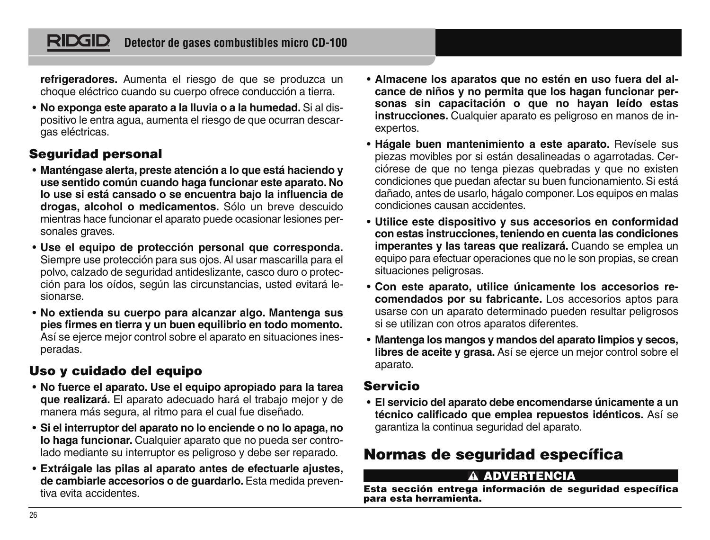#### RIDGII **Detector de gases combustibles micro CD-100**

**refrigeradores.** Aumenta el riesgo de que se produzca un choque eléctrico cuando su cuerpo ofrece conducción a tierra.

• **No exponga este aparato a la lluvia o a la humedad.** Si al dispositivo le entra agua, aumenta el riesgo de que ocurran descargas eléctricas.

#### **Seguridad personal**

- **Manténgase alerta, preste atención a lo que está haciendo y use sentido común cuando haga funcionar este aparato. No lo use si está cansado o se encuentra bajo la influencia de drogas, alcohol o medicamentos.** Sólo un breve descuido mientras hace funcionar el aparato puede ocasionar lesiones personales graves.
- **Use el equipo de protección personal que corresponda.** Siempre use protección para sus ojos. Al usar mascarilla para el polvo, calzado de seguridad antideslizante, casco duro o protección para los oídos, según las circunstancias, usted evitará lesionarse.
- **No extienda su cuerpo para alcanzar algo. Mantenga sus pies firmes en tierra y un buen equilibrio en todo momento.** Así se ejerce mejor control sobre el aparato en situaciones inesperadas.

## **Uso y cuidado del equipo**

- **No fuerce el aparato. Use el equipo apropiado para la tarea que realizará.** El aparato adecuado hará el trabajo mejor y de manera más segura, al ritmo para el cual fue diseñado.
- **Si el interruptor del aparato no lo enciende o no lo apaga, no lo haga funcionar.** Cualquier aparato que no pueda ser controlado mediante su interruptor es peligroso y debe ser reparado.
- **Extráigale las pilas al aparato antes de efectuarle ajustes, de cambiarle accesorios o de guardarlo.** Esta medida preventiva evita accidentes.
- **Almacene los aparatos que no estén en uso fuera del alcance de niños y no permita que los hagan funcionar personas sin capacitación o que no hayan leído estas instrucciones.** Cualquier aparato es peligroso en manos de inexpertos.
- **Hágale buen mantenimiento a este aparato.** Revísele sus piezas movibles por si están desalineadas o agarrotadas. Cerciórese de que no tenga piezas quebradas y que no existen condiciones que puedan afectar su buen funcionamiento. Si está dañado, antes de usarlo, hágalo componer. Los equipos en malas condiciones causan accidentes.
- **Utilice este dispositivo y sus accesorios en conformidad con estas instrucciones, teniendo en cuenta las condiciones imperantes y las tareas que realizará.** Cuando se emplea un equipo para efectuar operaciones que no le son propias, se crean situaciones peligrosas.
- **Con este aparato, utilice únicamente los accesorios recomendados por su fabricante.** Los accesorios aptos para usarse con un aparato determinado pueden resultar peligrosos si se utilizan con otros aparatos diferentes.
- **Mantenga los mangos y mandos del aparato limpios y secos, libres de aceite y grasa.** Así se ejerce un mejor control sobre el aparato.

#### **Servicio**

• **El servicio del aparato debe encomendarse únicamente a un técnico calificado que emplea repuestos idénticos.** Así se garantiza la continua seguridad del aparato.

## **Normas de seguridad específica**

#### **ADVERTENCIA**

**Esta sección entrega información de seguridad específica para esta herramienta.**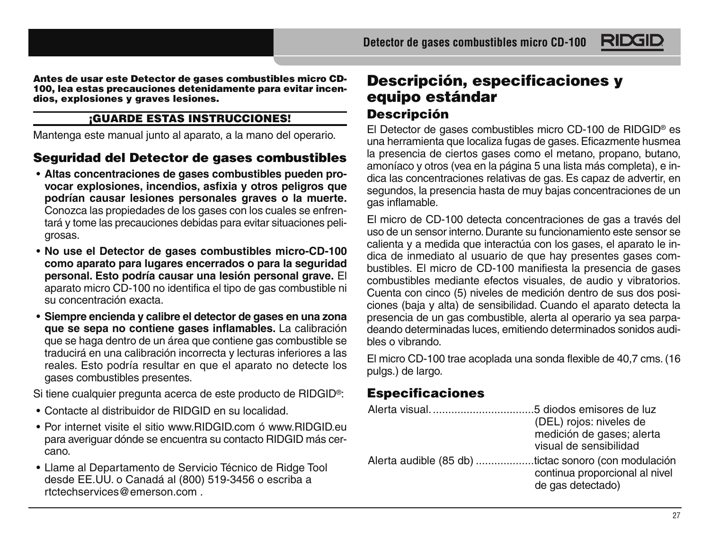**Antes de usar este Detector de gases combustibles micro CD-100, lea estas precauciones detenidamente para evitar incendios, explosiones y graves lesiones.**

#### **¡GUARDE ESTAS INSTRUCCIONES!**

Mantenga este manual junto al aparato, a la mano del operario.

## **Seguridad del Detector de gases combustibles**

- **Altas concentraciones de gases combustibles pueden provocar explosiones, incendios, asfixia y otros peligros que podrían causar lesiones personales graves o la muerte.** Conozca las propiedades de los gases con los cuales se enfren tará y tome las precauciones debidas para evitar situaciones peligrosas.
- **No use el Detector de gases combustibles micro-CD-100 como aparato para lugares encerrados o para la seguridad personal. Esto podría causar una lesión personal grave.** El aparato micro CD-100 no identifica el tipo de gas combustible ni su concentración exacta.
- **Siempre encienda y calibre el detector de gases en una zona que se sepa no contiene gases inflamables.** La calibración que se haga dentro de un área que contiene gas combustible se traducirá en una calibración incorrecta y lecturas inferiores a las reales. Esto podría resultar en que el aparato no detecte los gases combustibles presentes.

Si tiene cualquier pregunta acerca de este producto de RIDGID<sup>®</sup>:

- Contacte al distribuidor de RIDGID en su localidad.
- Por internet visite el sitio www.RIDGID.com ó www.RIDGID.eu para averiguar dónde se encuentra su contacto RIDGID más cercano.
- Llame al Departamento de Servicio Técnico de Ridge Tool desde EE.UU. o Canadá al (800) 519-3456 o escriba a rtctechservices@emerson.com .

## **Descripción, especificaciones y equipo estándar Descripción**

El Detector de gases combustibles micro CD-100 de RIDGID® es una herramienta que localiza fugas de gases. Eficazmente husmea la presencia de ciertos gases como el metano, propano, butano, amoníaco y otros (vea en la página 5 una lista más completa), e indica las concentraciones relativas de gas. Es capaz de advertir, en segundos, la presencia hasta de muy bajas concentraciones de un gas inflama ble.

RIDG

El micro de CD-100 detecta concentraciones de gas a través del uso de un sensor interno. Durante su funcionamiento este sensor se calienta y a medida que interactúa con los gases, el aparato le indica de inmediato al usuario de que hay presentes gases combustibles. El micro de CD-100 manifiesta la presencia de gases combustibles mediante efectos visuales, de audio y vibratorios. Cuenta con cinco (5) niveles de medición dentro de sus dos posiciones (baja y alta) de sensibilidad. Cuando el aparato detecta la presencia de un gas combustible, alerta al operario ya sea parpadeando determinadas luces, emitiendo determinados sonidos audibles o vibrando.

El micro CD-100 trae acoplada una sonda flexible de 40,7 cms. (16 pulgs.) de largo.

## **Especificaciones**

|                                                      | (DEL) rojos: niveles de        |
|------------------------------------------------------|--------------------------------|
|                                                      | medición de gases; alerta      |
|                                                      | visual de sensibilidad         |
| Alerta audible (85 db) tictac sonoro (con modulación | continua proporcional al nivel |
|                                                      | de gas detectado)              |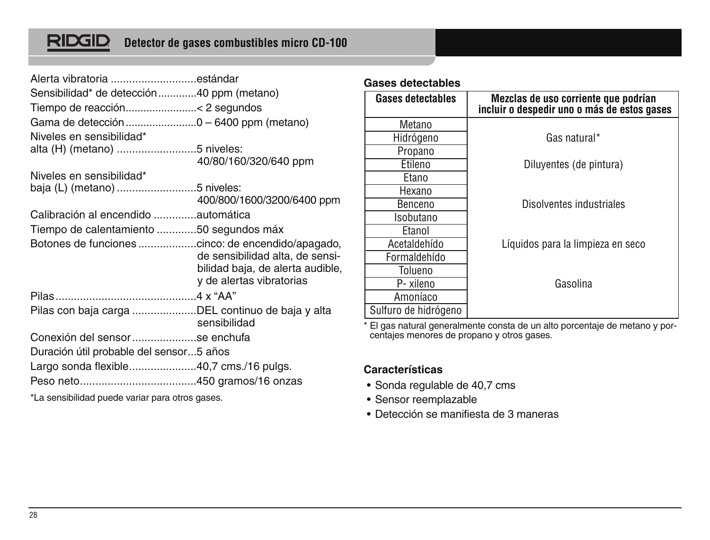# <u>RIDGID</u>

| Alerta vibratoria estándar                       |                                                                                                 |
|--------------------------------------------------|-------------------------------------------------------------------------------------------------|
| Sensibilidad* de detección40 ppm (metano)        |                                                                                                 |
|                                                  |                                                                                                 |
|                                                  |                                                                                                 |
| Niveles en sensibilidad*                         |                                                                                                 |
| alta (H) (metano) 5 niveles:                     |                                                                                                 |
|                                                  | 40/80/160/320/640 ppm                                                                           |
| Niveles en sensibilidad*                         |                                                                                                 |
| baja (L) (metano) 5 niveles:                     |                                                                                                 |
|                                                  | 400/800/1600/3200/6400 ppm                                                                      |
| Calibración al encendido automática              |                                                                                                 |
| Tiempo de calentamiento 50 segundos máx          |                                                                                                 |
|                                                  | de sensibilidad alta, de sensi-<br>bilidad baja, de alerta audible,<br>y de alertas vibratorias |
|                                                  |                                                                                                 |
| Pilas con baja carga DEL continuo de baja y alta | sensibilidad                                                                                    |
| Conexión del sensorse enchufa                    |                                                                                                 |
| Duración útil probable del sensor5 años          |                                                                                                 |
| Largo sonda flexible40,7 cms./16 pulgs.          |                                                                                                 |
|                                                  |                                                                                                 |
|                                                  |                                                                                                 |

**Gases detectables**

| <b>Gases detectables</b> | Mezclas de uso corriente que podrían<br>incluir o despedir uno o más de estos gases |  |  |  |  |
|--------------------------|-------------------------------------------------------------------------------------|--|--|--|--|
| Metano                   |                                                                                     |  |  |  |  |
| Hidrógeno                | Gas natural*                                                                        |  |  |  |  |
| Propano                  |                                                                                     |  |  |  |  |
| Etileno                  | Diluyentes (de pintura)                                                             |  |  |  |  |
| Etano                    |                                                                                     |  |  |  |  |
| Hexano                   |                                                                                     |  |  |  |  |
| Benceno                  | Disolventes industriales                                                            |  |  |  |  |
| Isobutano                |                                                                                     |  |  |  |  |
| Etanol                   |                                                                                     |  |  |  |  |
| Acetaldehído             | Líquidos para la limpieza en seco                                                   |  |  |  |  |
| Formaldehído             |                                                                                     |  |  |  |  |
| Tolueno                  |                                                                                     |  |  |  |  |
| P-xileno                 | Gasolina                                                                            |  |  |  |  |
| Amoníaco                 |                                                                                     |  |  |  |  |
| Sulfuro de hidrógeno     |                                                                                     |  |  |  |  |

\* El gas natural generalmente consta de un alto porcentaje de metano y por-centajes menores de propano y otros gases.

#### **Características**

- Sonda regulable de 40,7 cms
- Sensor reemplazable
- Detección se manifiesta de 3 maneras

\*La sensibilidad puede variar para otros gases.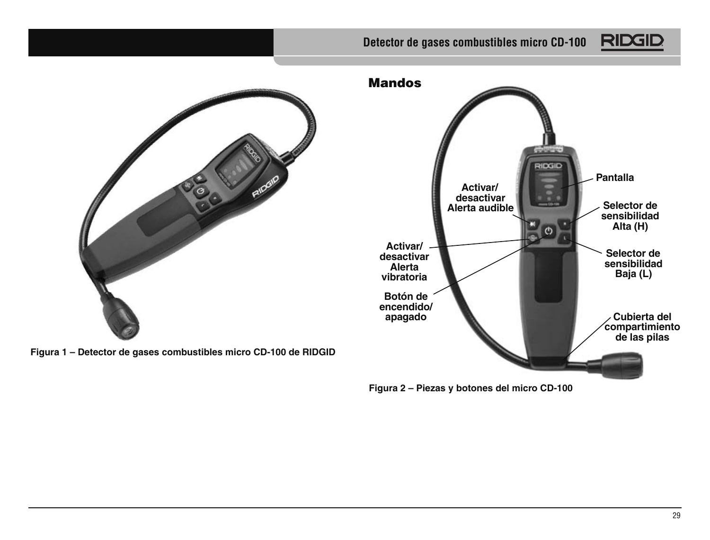## **Detector de gases combustibles micro CD-100**





**Figura 1 – Detector de gases combustibles micro CD-100 de RIDGID**

**Mandos IDGID Pantalla Activar/ desactivar** Alerta audible **sensibilidad Alta (H)**  $\mathcal{O}$ **Activar/ Selector de desactivar sensibilidad Alerta Baja (L) vibratoria Botón de encendido/ apagado Cubierta del compartimiento de las pilas**

**Figura 2 – Piezas y botones del micro CD-100**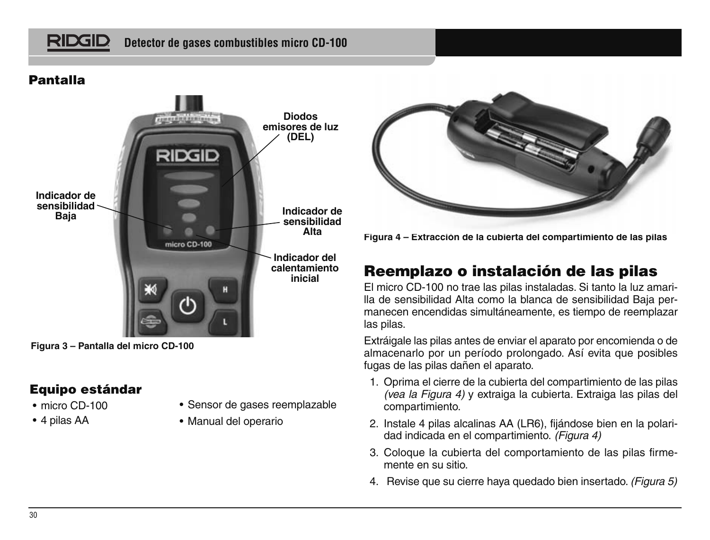# **RIDGIL**

## **Pantalla**



**Figura 3 – Pantalla del micro CD-100**

## **Equipo estándar**

- micro CD-100
- 4 pilas AA
- Sensor de gases reemplazable
- Manual del operario



**Figura 4 – Extracción de la cubierta del compartimiento de las pilas**

# **Reemplazo o instalación de las pilas**

El micro CD-100 no trae las pilas instaladas. Si tanto la luz amarilla de sensibilidad Alta como la blanca de sensibilidad Baja permanecen encendidas simultáneamente, es tiempo de reemplazar las pilas.

Extráigale las pilas antes de enviar el aparato por encomienda o de almacenarlo por un período prolongado. Así evita que posibles fugas de las pilas dañen el aparato.

- 1. Oprima el cierre de la cubierta del compartimiento de las pilas (vea la Figura 4) y extraiga la cubierta. Extraiga las pilas del compartimiento.
- 2. Instale 4 pilas alcalinas AA (LR6), fijándose bien en la polaridad indicada en el compartimiento. (Figura 4)
- 3. Coloque la cubierta del comportamiento de las pilas firmemente en su sitio.
- 4. Revise que su cierre hava quedado bien insertado. (Figura 5)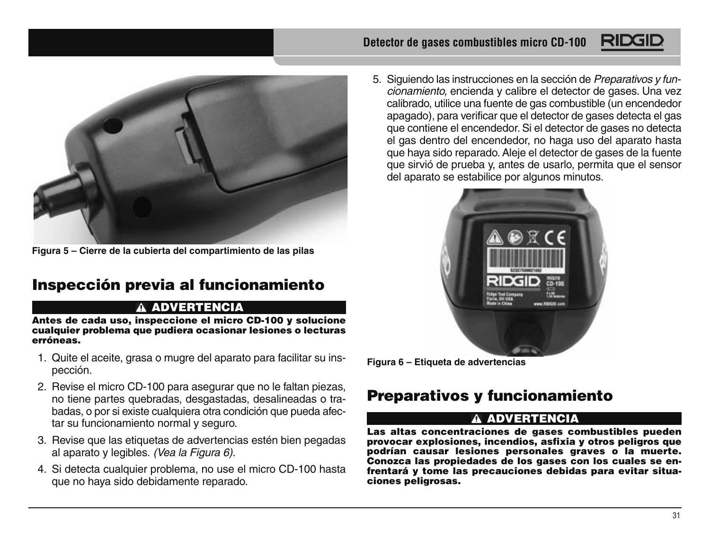

**Figura 5 – Cierre de la cubierta del compartimiento de las pilas**

# **Inspección previa al funcionamiento**

#### **ADVERTENCIA**

**Antes de cada uso, inspeccione el micro CD-100 y solucione cualquier problema que pudiera ocasionar lesiones o lecturas erróneas.** 

- 1. Quite el aceite, grasa o mugre del aparato para facilitar su inspección.
- 2. Revise el micro CD-100 para asegurar que no le faltan piezas, no tiene partes quebradas, desgastadas, desalineadas o trabadas, o por si existe cualquiera otra condición que pueda afectar su funcionamiento normal y seguro.
- 3. Revise que las etiquetas de advertencias estén bien pegadas al aparato y legibles. (Vea la Figura 6).
- 4. Si detecta cualquier problema, no use el micro CD-100 hasta que no haya sido debidamente reparado.

5. Siguiendo las instrucciones en la sección de Preparativos y funcionamiento, encienda y calibre el detector de gases. Una vez calibrado, utilice una fuente de gas combustible (un encendedor apagado), para verificar que el detector de gases detecta el gas que contiene el encendedor. Si el detector de gases no detecta el gas dentro del encendedor, no haga uso del aparato hasta que haya sido reparado. Aleje el detector de gases de la fuente que sirvió de prueba y, antes de usarlo, permita que el sensor del aparato se estabilice por algunos minutos.



**Figura 6 – Etiqueta de advertencias**

# **Preparativos y funcionamiento**

#### **ADVERTENCIA**

**Las altas concentraciones de gases combustibles pueden provocar explosiones, incendios, asfixia y otros peligros que podrían causar lesiones personales graves o la muerte. Conozca las propiedades de los gases con los cuales se enfrentará y tome las precauciones debidas para evitar situaciones peligrosas.**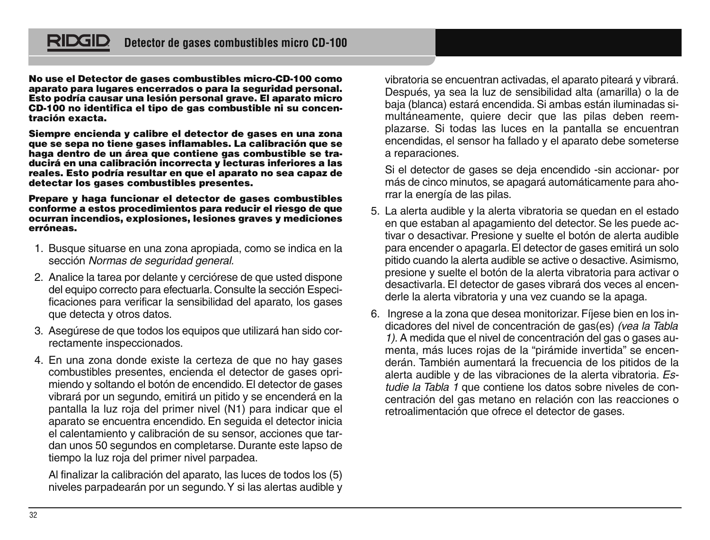

**No use el Detector de gases combustibles micro-CD-100 como aparato para lugares encerrados o para la seguridad personal. Esto podría causar una lesión personal grave. El aparato micro CD-100 no identifica el tipo de gas combustible ni su concentración exacta.**

**Siempre encienda y calibre el detector de gases en una zona que se sepa no tiene gases inflamables. La calibración que se haga dentro de un área que contiene gas combustible se traducirá en una calibración incorrecta y lecturas inferiores a las reales. Esto podría resultar en que el aparato no sea capaz de detectar los gases combustibles presentes.** 

**Prepare y haga funcionar el detector de gases combustibles conforme a estos procedimientos para reducir el riesgo de que ocurran incendios, explosiones, lesiones graves y mediciones erróneas.**

- 1. Busque situarse en una zona apropiada, como se indica en la sección Normas de seguridad general.
- 2. Analice la tarea por delante y cerciórese de que usted dispone del equipo correcto para efectuarla. Consulte la sección Especificaciones para verificar la sensibilidad del aparato, los gases que detecta y otros datos.
- 3. Asegúrese de que todos los equipos que utilizará han sido correctamente inspeccionados.
- 4. En una zona donde existe la certeza de que no hay gases combustibles presentes, encienda el detector de gases oprimiendo y soltando el botón de encendido. El detector de gases vibrará por un segundo, emitirá un pitido y se encenderá en la pantalla la luz roja del primer nivel (N1) para indicar que el aparato se encuentra encendido. En seguida el detector inicia el calentamiento y calibración de su sensor, acciones que tardan unos 50 segundos en completarse. Durante este lapso de tiempo la luz roja del primer nivel parpadea.

Al finalizar la calibración del aparato, las luces de todos los (5) niveles parpadearán por un segundo. Y si las alertas audible y vibratoria se encuentran activadas, el aparato piteará y vibrará. Después, ya sea la luz de sensibilidad alta (amarilla) o la de baja (blanca) estará encendida. Si ambas están iluminadas simultáneamente, quiere decir que las pilas deben reemplazarse. Si todas las luces en la pantalla se encuentran encendidas, el sensor ha fallado y el aparato debe someterse a reparaciones.

Si el detector de gases se deja encendido -sin accionar- por más de cinco minutos, se apagará automáticamente para aho rrar la energía de las pilas.

- 5. La alerta audible y la alerta vibratoria se quedan en el estado en que estaban al apagamiento del detector. Se les puede activar o desactivar. Presione y suelte el botón de alerta audible para encender o apagarla. El detector de gases emitirá un solo pitido cuando la alerta audible se active o desactive. Asimismo, presione y suelte el botón de la alerta vibratoria para activar o desactivarla. El detector de gases vibrará dos veces al encenderle la alerta vibratoria y una vez cuando se la apaga.
- 6. Ingrese a la zona que desea monitorizar. Fíjese bien en los indicadores del nivel de concentración de gas(es) (vea la Tabla 1). A medida que el nivel de concentración del gas o gases aumenta, más luces rojas de la "pirámide invertida" se encenderán. También aumentará la frecuencia de los pitidos de la alerta audible y de las vibraciones de la alerta vibratoria. Estudie la Tabla 1 que contiene los datos sobre niveles de concentración del gas metano en relación con las reacciones o retroalimentación que ofrece el detector de gases.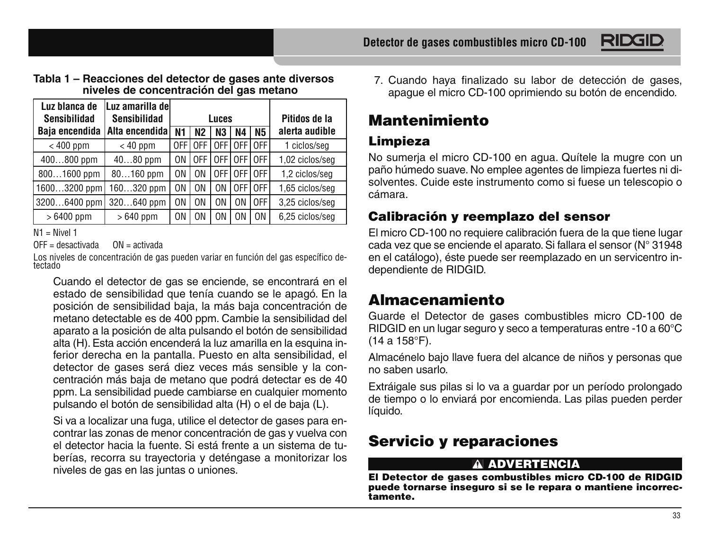

#### **Tabla 1 – Reacciones del detector de gases ante diversos niveles de concentración del gas metano**

| Luz blanca de  | Luz amarilla del |       |                |     |                |                |                 |
|----------------|------------------|-------|----------------|-----|----------------|----------------|-----------------|
| Sensibilidad   | Sensibilidad     |       | Luces          |     |                | Pitidos de la  |                 |
| Baja encendida | Alta encendida   | N1    | N <sub>2</sub> | N3  | N4             | <b>N5</b>      | alerta audible  |
| $< 400$ ppm    | $< 40$ ppm       | OFF I | 0FF            | 0FF | 0FF            | 0FF            | 1 ciclos/seg    |
| 400800 ppm     | $4080$ ppm       | 0N.   | 0FF            | 0FF | OFF I          | 0FF            | 1,02 ciclos/seq |
| 8001600 ppm    | $80160$ ppm      | 0N    | ΩN             | 0FF | 0FF            | 0FF            | 1,2 ciclos/seq  |
| 16003200 ppm   | 160320 ppm       | 0N    | ΩN             | ΩN  | 0FF            | 0FF            | 1,65 ciclos/seq |
| 32006400 ppm   | 320640 ppm       | 0N    | 0N             | ΩN  | 0 <sub>N</sub> | 0FF            | 3.25 ciclos/sea |
| $>6400$ ppm    | $>640$ ppm       | 0N    | ΩN             | ΩN  | ΩN             | 0 <sub>N</sub> | 6.25 ciclos/sea |

N1 = Nivel 1

OFF = desactivada ON = activada

Los niveles de concentración de gas pueden variar en función del gas específico de-<br>tectado

Cuando el detector de gas se enciende, se encontrará en el estado de sensibilidad que tenía cuando se le apagó. En la posición de sensibilidad baja, la más baja concentración de metano detectable es de 400 ppm. Cambie la sensibilidad del aparato a la posición de alta pulsando el botón de sensibilidad alta (H). Esta acción encenderá la luz amarilla en la esquina inferior derecha en la pantalla. Puesto en alta sensibilidad, el detector de gases será diez veces más sensible y la concentración más baja de metano que podrá detectar es de 40 ppm. La sensibilidad puede cambiarse en cualquier momento pulsando el botón de sensibilidad alta (H) o el de baja (L).

Si va a localizar una fuga, utilice el detector de gases para encontrar las zonas de menor concentración de gas y vuelva con el detector hacia la fuente. Si está frente a un sistema de tuberías, recorra su trayectoria y deténgase a monitorizar los niveles de gas en las juntas o uniones.

7. Cuando haya finalizado su labor de detección de gases, apague el micro CD-100 oprimiendo su botón de encendido.

# **Mantenimiento**

## **Limpieza**

No sumerja el micro CD-100 en agua. Quítele la mugre con un paño húmedo suave. No emplee agentes de limpieza fuertes ni disolventes. Cuide este instrumento como si fuese un telescopio o cámara.

## **Calibración y reemplazo del sensor**

El micro CD-100 no requiere calibración fuera de la que tiene lugar cada vez que se enciende el aparato. Si fallara el sensor (N° 31948 en el catálogo), éste puede ser reemplazado en un servicentro independiente de RIDGID.

# **Almacenamiento**

Guarde el Detector de gases combustibles micro CD-100 de RIDGID en un lugar seguro y seco a temperaturas entre -10 a 60°C (14 a 158°F).

Almacénelo bajo llave fuera del alcance de niños y personas que no saben usarlo.

Extráigale sus pilas si lo va a guardar por un período prolongado de tiempo o lo enviará por encomienda. Las pilas pueden perder líquido.

# **Servicio y reparaciones**

#### **ADVERTENCIA**

**El Detector de gases combustibles micro CD-100 de RIDGID puede tornarse inseguro si se le repara o mantiene incorrectamente.**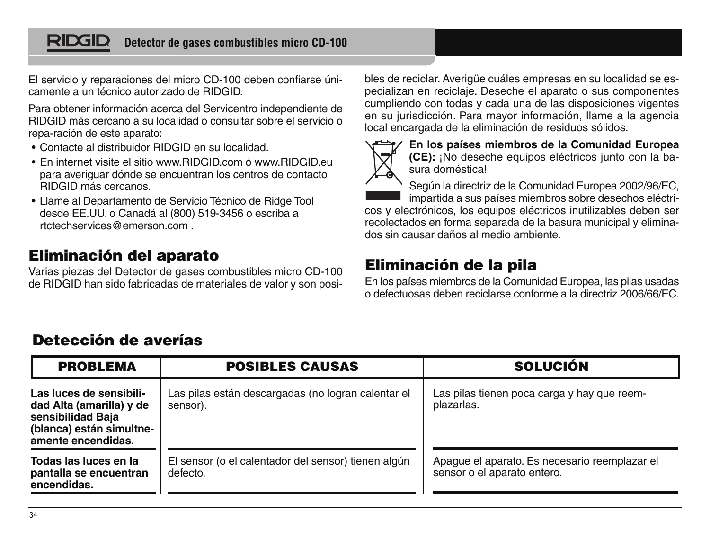#### RIDGII **Detector de gases combustibles micro CD-100**

El servicio y reparaciones del micro CD-100 deben confiarse únicamente a un técnico autorizado de RIDGID.

Para obtener información acerca del Servicentro independiente de RIDGID más cercano a su localidad o consultar sobre el servicio o repa-ración de este aparato:

- Contacte al distribuidor RIDGID en su localidad.
- En internet visite el sitio www.RIDGID.com ó www.RIDGID.eu para averiguar dónde se encuentran los centros de contacto RIDGID más cercanos.
- Llame al Departamento de Servicio Técnico de Ridge Tool desde EE.UU. o Canadá al (800) 519-3456 o escriba a rtctechservices@emerson.com .

## **Eliminación del aparato**

Varias piezas del Detector de gases combustibles micro CD-100 de RIDGID han sido fabricadas de materiales de valor y son posi-

bles de reciclar. Averigüe cuáles empresas en su localidad se especializan en reciclaje. Deseche el aparato o sus componentes cumpliendo con todas y cada una de las disposiciones vigentes en su jurisdicción. Para mayor información, llame a la agencia local encargada de la eliminación de residuos sólidos.



**En los países miembros de la Comunidad Europea (CE):** ¡No deseche equipos eléctricos junto con la basura doméstica!

Según la directriz de la Comunidad Europea 2002/96/EC, impartida a sus países miembros sobre desechos eléctri-

cos y electrónicos, los equipos eléctricos inutilizables deben ser recolectados en forma separada de la basura municipal y eliminados sin causar daños al medio ambiente.

## **Eliminación de la pila**

En los países miembros de la Comunidad Europea, las pilas usadas o defectuosas deben reciclarse conforme a la directriz 2006/66/EC.

## **Detección de averías**

| <b>PROBLEMA</b>                                                                                                            | <b>POSIBLES CAUSAS</b>                                          | <b>SOLUCIÓN</b>                                                              |  |  |  |
|----------------------------------------------------------------------------------------------------------------------------|-----------------------------------------------------------------|------------------------------------------------------------------------------|--|--|--|
| Las luces de sensibili-<br>dad Alta (amarilla) y de<br>sensibilidad Baja<br>(blanca) están simultne-<br>amente encendidas. | Las pilas están descargadas (no logran calentar el<br>sensor).  | Las pilas tienen poca carga y hay que reem-<br>plazarlas.                    |  |  |  |
| Todas las luces en la<br>pantalla se encuentran<br>encendidas.                                                             | El sensor (o el calentador del sensor) tienen algún<br>defecto. | Apague el aparato. Es necesario reemplazar el<br>sensor o el aparato entero. |  |  |  |